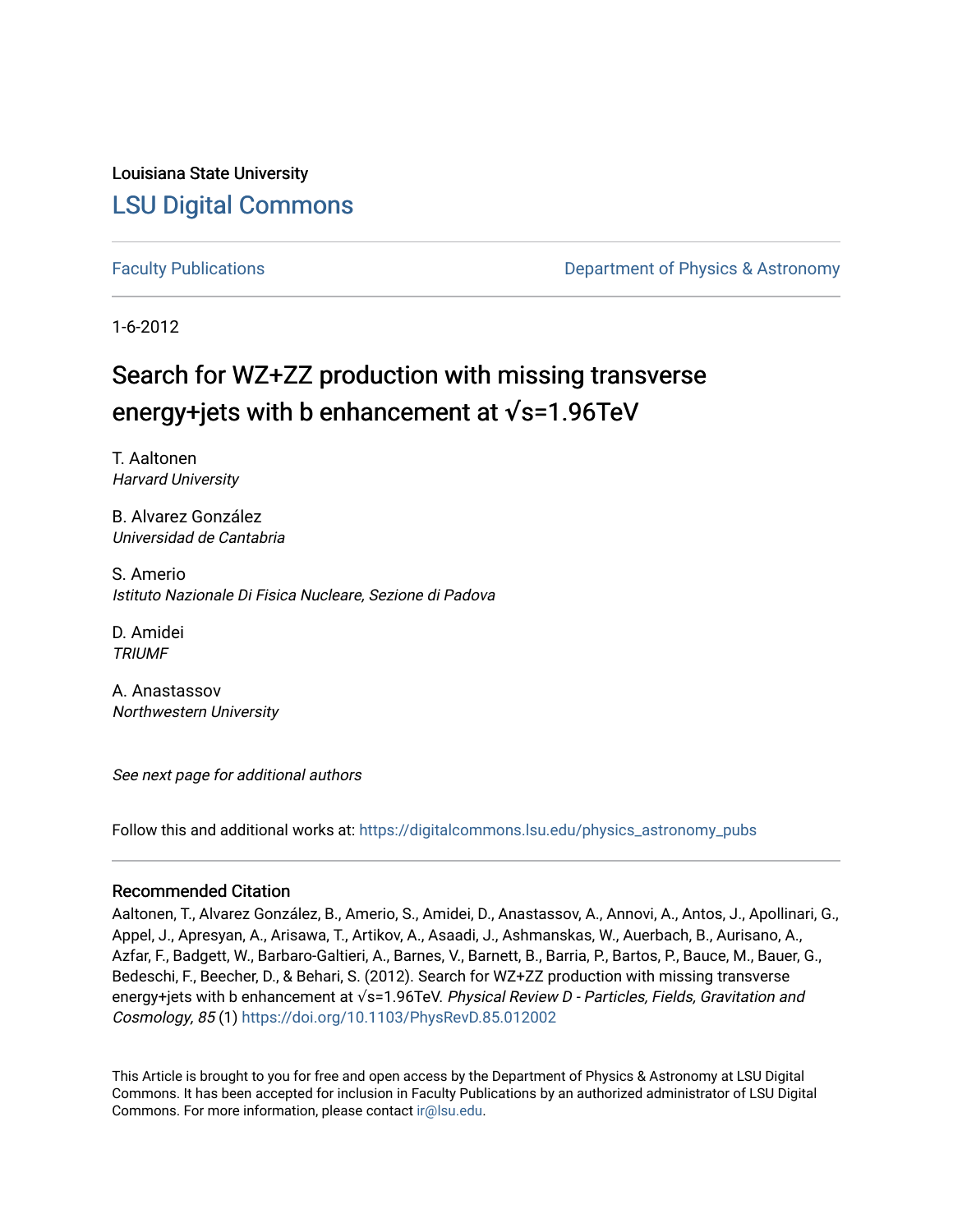Louisiana State University [LSU Digital Commons](https://digitalcommons.lsu.edu/)

[Faculty Publications](https://digitalcommons.lsu.edu/physics_astronomy_pubs) **Example 2** Constant Department of Physics & Astronomy

1-6-2012

## Search for WZ+ZZ production with missing transverse energy+jets with b enhancement at **√**s=1.96TeV

T. Aaltonen Harvard University

B. Alvarez González Universidad de Cantabria

S. Amerio Istituto Nazionale Di Fisica Nucleare, Sezione di Padova

D. Amidei **TRIUMF** 

A. Anastassov Northwestern University

See next page for additional authors

Follow this and additional works at: [https://digitalcommons.lsu.edu/physics\\_astronomy\\_pubs](https://digitalcommons.lsu.edu/physics_astronomy_pubs?utm_source=digitalcommons.lsu.edu%2Fphysics_astronomy_pubs%2F2327&utm_medium=PDF&utm_campaign=PDFCoverPages) 

## Recommended Citation

Aaltonen, T., Alvarez González, B., Amerio, S., Amidei, D., Anastassov, A., Annovi, A., Antos, J., Apollinari, G., Appel, J., Apresyan, A., Arisawa, T., Artikov, A., Asaadi, J., Ashmanskas, W., Auerbach, B., Aurisano, A., Azfar, F., Badgett, W., Barbaro-Galtieri, A., Barnes, V., Barnett, B., Barria, P., Bartos, P., Bauce, M., Bauer, G., Bedeschi, F., Beecher, D., & Behari, S. (2012). Search for WZ+ZZ production with missing transverse energy+jets with b enhancement at √s=1.96TeV. Physical Review D - Particles, Fields, Gravitation and Cosmology, 85 (1)<https://doi.org/10.1103/PhysRevD.85.012002>

This Article is brought to you for free and open access by the Department of Physics & Astronomy at LSU Digital Commons. It has been accepted for inclusion in Faculty Publications by an authorized administrator of LSU Digital Commons. For more information, please contact [ir@lsu.edu](mailto:ir@lsu.edu).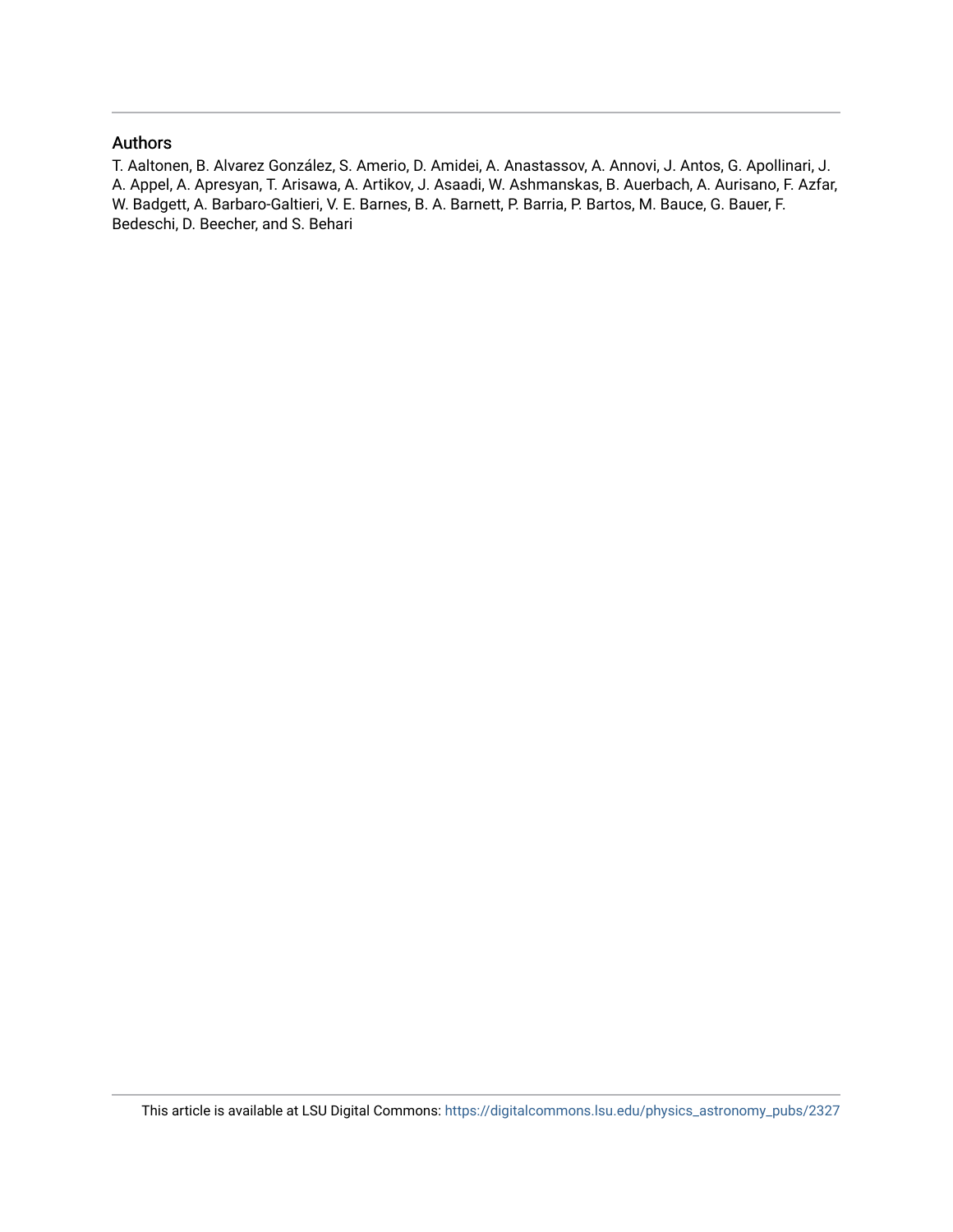### Authors

T. Aaltonen, B. Alvarez González, S. Amerio, D. Amidei, A. Anastassov, A. Annovi, J. Antos, G. Apollinari, J. A. Appel, A. Apresyan, T. Arisawa, A. Artikov, J. Asaadi, W. Ashmanskas, B. Auerbach, A. Aurisano, F. Azfar, W. Badgett, A. Barbaro-Galtieri, V. E. Barnes, B. A. Barnett, P. Barria, P. Bartos, M. Bauce, G. Bauer, F. Bedeschi, D. Beecher, and S. Behari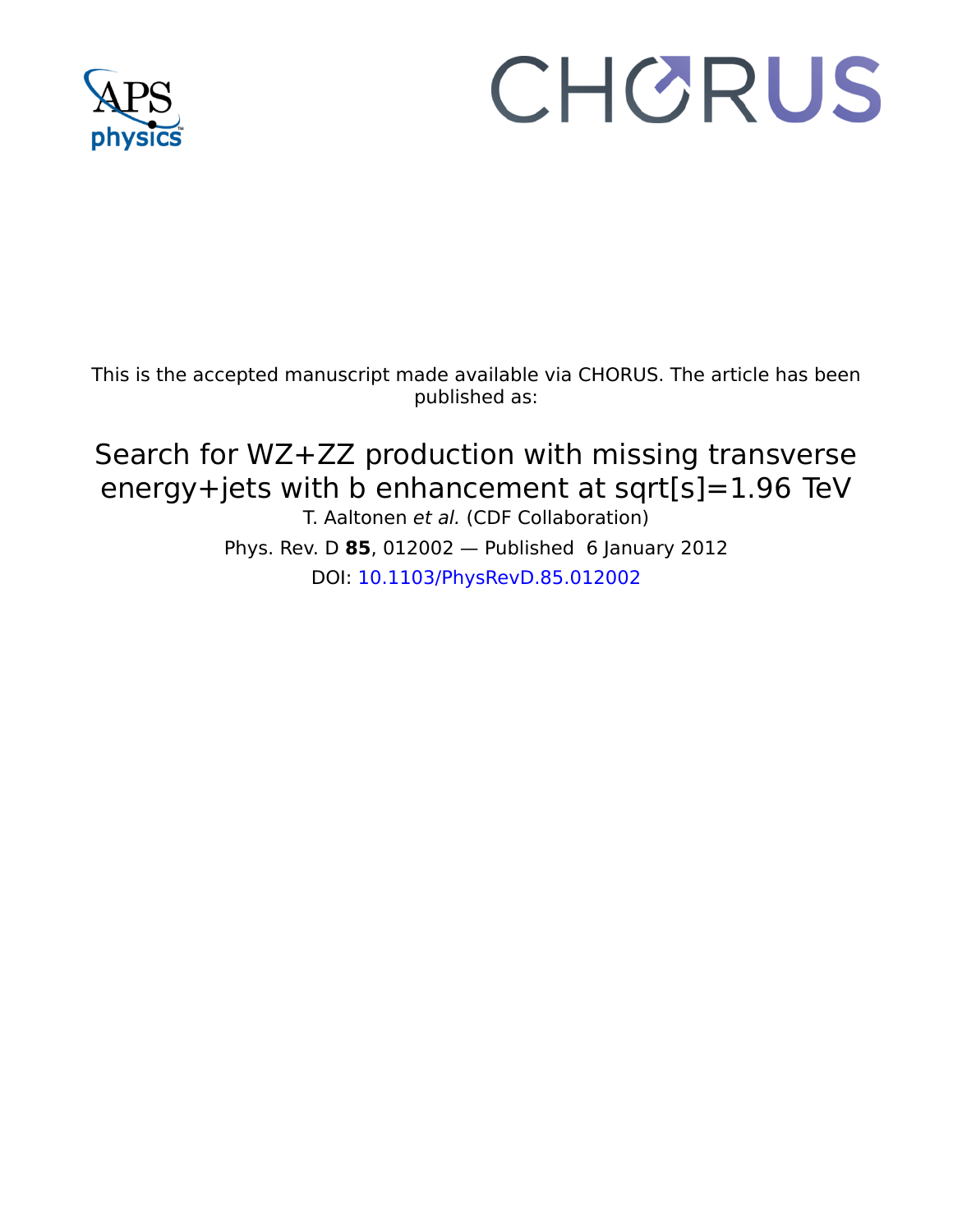

# CHORUS

This is the accepted manuscript made available via CHORUS. The article has been published as:

## Search for WZ+ZZ production with missing transverse energy+jets with b enhancement at sqrt[s]=1.96  TeV T. Aaltonen et al. (CDF Collaboration) Phys. Rev. D **85**, 012002 — Published 6 January 2012 DOI: [10.1103/PhysRevD.85.012002](http://dx.doi.org/10.1103/PhysRevD.85.012002)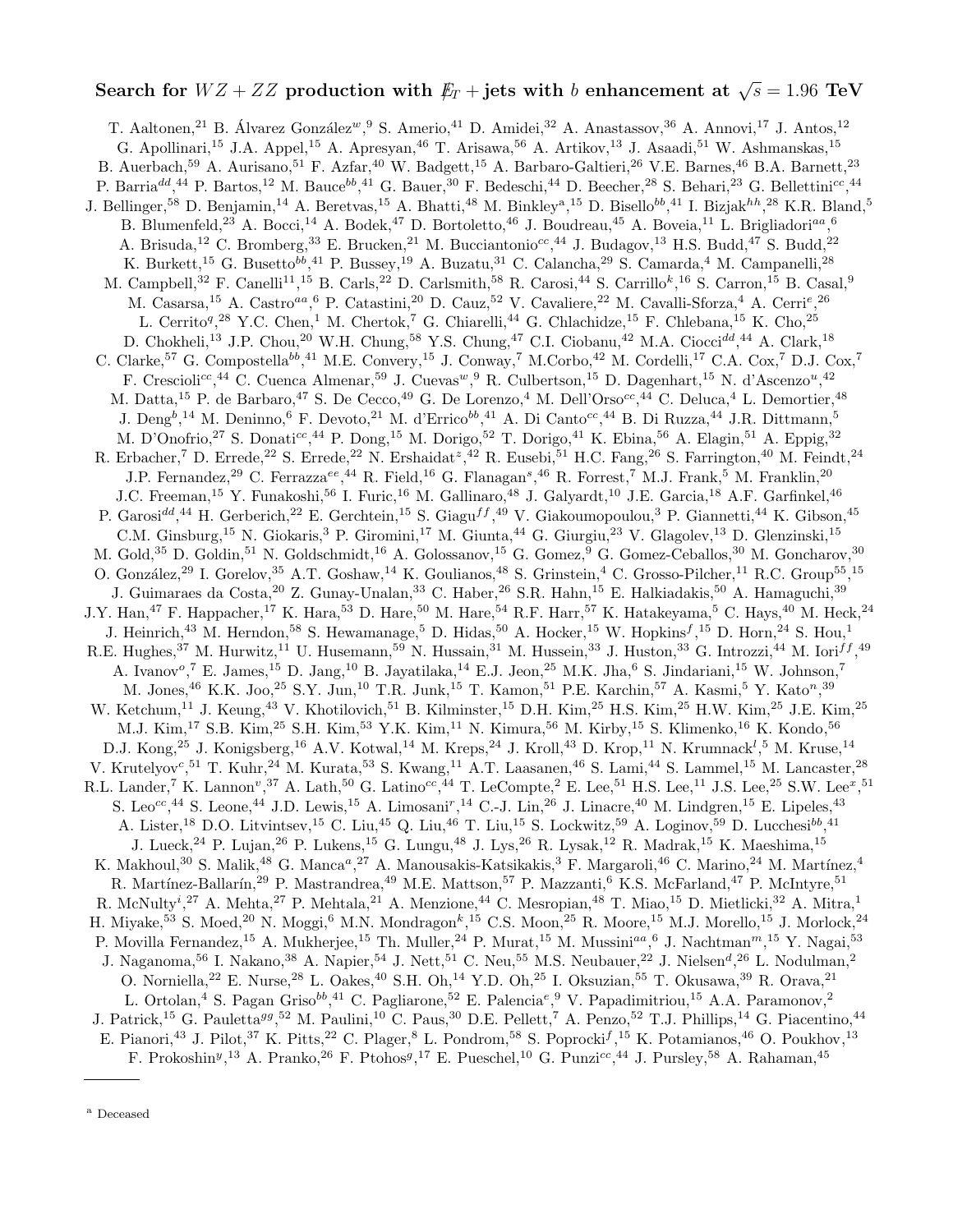# Search for  $WZ + ZZ$  production with  $\not\!\!E_T + {\rm jets}$  with  $b$  enhancement at  $\sqrt{s} = 1.96 \text{ TeV}$

T. Aaltonen,<sup>21</sup> B. Álvarez González<sup>w</sup>,<sup>9</sup> S. Amerio,<sup>41</sup> D. Amidei,<sup>32</sup> A. Anastassov,<sup>36</sup> A. Annovi,<sup>17</sup> J. Antos,<sup>12</sup> G. Apollinari,<sup>15</sup> J.A. Appel,<sup>15</sup> A. Apresyan,<sup>46</sup> T. Arisawa,<sup>56</sup> A. Artikov,<sup>13</sup> J. Asaadi,<sup>51</sup> W. Ashmanskas,<sup>15</sup> B. Auerbach,<sup>59</sup> A. Aurisano,<sup>51</sup> F. Azfar,<sup>40</sup> W. Badgett,<sup>15</sup> A. Barbaro-Galtieri,<sup>26</sup> V.E. Barnes,<sup>46</sup> B.A. Barnett,<sup>23</sup> P. Barria<sup>dd</sup>,<sup>44</sup> P. Bartos,<sup>12</sup> M. Bauce<sup>bb</sup>,<sup>41</sup> G. Bauer,<sup>30</sup> F. Bedeschi,<sup>44</sup> D. Beecher,<sup>28</sup> S. Behari,<sup>23</sup> G. Bellettini<sup>cc</sup>,<sup>44</sup> J. Bellinger,<sup>58</sup> D. Benjamin,<sup>14</sup> A. Beretvas,<sup>15</sup> A. Bhatti,<sup>48</sup> M. Binkley<sup>a</sup>,<sup>15</sup> D. Bisello<sup>bb</sup>,<sup>41</sup> I. Bizjak<sup>hh</sup>,<sup>28</sup> K.R. Bland,<sup>5</sup> B. Blumenfeld,<sup>23</sup> A. Bocci,<sup>14</sup> A. Bodek,<sup>47</sup> D. Bortoletto,<sup>46</sup> J. Boudreau,<sup>45</sup> A. Boveia,<sup>11</sup> L. Brigliadori<sup>aa</sup>,<sup>6</sup> A. Brisuda,<sup>12</sup> C. Bromberg,<sup>33</sup> E. Brucken,<sup>21</sup> M. Bucciantonio<sup>cc</sup>,<sup>44</sup> J. Budagov,<sup>13</sup> H.S. Budd,<sup>47</sup> S. Budd,<sup>22</sup> K. Burkett, <sup>15</sup> G. Busetto<sup>bb</sup>, <sup>41</sup> P. Bussey, <sup>19</sup> A. Buzatu, <sup>31</sup> C. Calancha, <sup>29</sup> S. Camarda, <sup>4</sup> M. Campanelli, <sup>28</sup> M. Campbell,<sup>32</sup> F. Canelli<sup>11</sup>,<sup>15</sup> B. Carls,<sup>22</sup> D. Carlsmith,<sup>58</sup> R. Carosi,<sup>44</sup> S. Carrillo<sup>k</sup>,<sup>16</sup> S. Carron,<sup>15</sup> B. Casal,<sup>9</sup> M. Casarsa,<sup>15</sup> A. Castro<sup>aa</sup>, <sup>6</sup> P. Catastini,<sup>20</sup> D. Cauz,<sup>52</sup> V. Cavaliere,<sup>22</sup> M. Cavalli-Sforza,<sup>4</sup> A. Cerri<sup>e</sup>,<sup>26</sup> L. Cerrito<sup>q</sup>,<sup>28</sup> Y.C. Chen,<sup>1</sup> M. Chertok,<sup>7</sup> G. Chiarelli,<sup>44</sup> G. Chlachidze,<sup>15</sup> F. Chlebana,<sup>15</sup> K. Cho,<sup>25</sup> D. Chokheli,<sup>13</sup> J.P. Chou,<sup>20</sup> W.H. Chung,<sup>58</sup> Y.S. Chung,<sup>47</sup> C.I. Ciobanu,<sup>42</sup> M.A. Ciocci<sup>dd</sup>,<sup>44</sup> A. Clark,<sup>18</sup> C. Clarke,<sup>57</sup> G. Compostella<sup>bb</sup>,<sup>41</sup> M.E. Convery,<sup>15</sup> J. Conway,<sup>7</sup> M.Corbo,<sup>42</sup> M. Cordelli,<sup>17</sup> C.A. Cox,<sup>7</sup> D.J. Cox,<sup>7</sup> F. Crescioli<sup>cc</sup>,<sup>44</sup> C. Cuenca Almenar,<sup>59</sup> J. Cuevas<sup>w</sup>, <sup>9</sup> R. Culbertson,<sup>15</sup> D. Dagenhart,<sup>15</sup> N. d'Ascenzo<sup>u</sup>,<sup>42</sup> M. Datta,<sup>15</sup> P. de Barbaro,<sup>47</sup> S. De Cecco,<sup>49</sup> G. De Lorenzo,<sup>4</sup> M. Dell'Orso<sup>cc</sup>,<sup>44</sup> C. Deluca,<sup>4</sup> L. Demortier,<sup>48</sup> J. Deng<sup>b</sup>,<sup>14</sup> M. Deninno,<sup>6</sup> F. Devoto,<sup>21</sup> M. d'Errico<sup>bb</sup>,<sup>41</sup> A. Di Canto<sup>cc</sup>,<sup>44</sup> B. Di Ruzza,<sup>44</sup> J.R. Dittmann,<sup>5</sup> M. D'Onofrio,<sup>27</sup> S. Donati<sup>cc</sup>,<sup>44</sup> P. Dong,<sup>15</sup> M. Dorigo,<sup>52</sup> T. Dorigo,<sup>41</sup> K. Ebina,<sup>56</sup> A. Elagin,<sup>51</sup> A. Eppig,<sup>32</sup> R. Erbacher,<sup>7</sup> D. Errede,<sup>22</sup> S. Errede,<sup>22</sup> N. Ershaidat<sup>z</sup>,<sup>42</sup> R. Eusebi,<sup>51</sup> H.C. Fang,<sup>26</sup> S. Farrington,<sup>40</sup> M. Feindt,<sup>24</sup> J.P. Fernandez,<sup>29</sup> C. Ferrazza<sup>ee</sup>,<sup>44</sup> R. Field,<sup>16</sup> G. Flanagan<sup>s</sup>,<sup>46</sup> R. Forrest,<sup>7</sup> M.J. Frank,<sup>5</sup> M. Franklin,<sup>20</sup> J.C. Freeman,<sup>15</sup> Y. Funakoshi,<sup>56</sup> I. Furic,<sup>16</sup> M. Gallinaro,<sup>48</sup> J. Galyardt,<sup>10</sup> J.E. Garcia,<sup>18</sup> A.F. Garfinkel,<sup>46</sup> P. Garosi<sup>dd</sup>,<sup>44</sup> H. Gerberich,<sup>22</sup> E. Gerchtein,<sup>15</sup> S. Giagu<sup>ff</sup>,<sup>49</sup> V. Giakoumopoulou,<sup>3</sup> P. Giannetti,<sup>44</sup> K. Gibson,<sup>45</sup> C.M. Ginsburg,<sup>15</sup> N. Giokaris,<sup>3</sup> P. Giromini,<sup>17</sup> M. Giunta,<sup>44</sup> G. Giurgiu,<sup>23</sup> V. Glagolev,<sup>13</sup> D. Glenzinski,<sup>15</sup> M. Gold,<sup>35</sup> D. Goldin,<sup>51</sup> N. Goldschmidt,<sup>16</sup> A. Golossanov,<sup>15</sup> G. Gomez,<sup>9</sup> G. Gomez-Ceballos,<sup>30</sup> M. Goncharov,<sup>30</sup> O. González,<sup>29</sup> I. Gorelov,<sup>35</sup> A.T. Goshaw,<sup>14</sup> K. Goulianos,<sup>48</sup> S. Grinstein,<sup>4</sup> C. Grosso-Pilcher,<sup>11</sup> R.C. Group<sup>55</sup>,<sup>15</sup> J. Guimaraes da Costa,<sup>20</sup> Z. Gunay-Unalan,<sup>33</sup> C. Haber,<sup>26</sup> S.R. Hahn,<sup>15</sup> E. Halkiadakis,<sup>50</sup> A. Hamaguchi,<sup>39</sup> J.Y. Han,<sup>47</sup> F. Happacher,<sup>17</sup> K. Hara,<sup>53</sup> D. Hare,<sup>50</sup> M. Hare,<sup>54</sup> R.F. Harr,<sup>57</sup> K. Hatakeyama,<sup>5</sup> C. Hays,<sup>40</sup> M. Heck,<sup>24</sup> J. Heinrich,<sup>43</sup> M. Herndon,<sup>58</sup> S. Hewamanage,<sup>5</sup> D. Hidas,<sup>50</sup> A. Hocker,<sup>15</sup> W. Hopkins<sup>f</sup>,<sup>15</sup> D. Horn,<sup>24</sup> S. Hou,<sup>1</sup> R.E. Hughes,<sup>37</sup> M. Hurwitz,<sup>11</sup> U. Husemann,<sup>59</sup> N. Hussain,<sup>31</sup> M. Hussein,<sup>33</sup> J. Huston,<sup>33</sup> G. Introzzi,<sup>44</sup> M. Iori<sup>ff</sup>,<sup>49</sup> A. Ivanov<sup>o</sup>,<sup>7</sup> E. James,<sup>15</sup> D. Jang,<sup>10</sup> B. Jayatilaka,<sup>14</sup> E.J. Jeon,<sup>25</sup> M.K. Jha,<sup>6</sup> S. Jindariani,<sup>15</sup> W. Johnson,<sup>7</sup> M. Jones, <sup>46</sup> K.K. Joo, <sup>25</sup> S.Y. Jun, <sup>10</sup> T.R. Junk, <sup>15</sup> T. Kamon, <sup>51</sup> P.E. Karchin, <sup>57</sup> A. Kasmi, <sup>5</sup> Y. Kato<sup>n</sup>, <sup>39</sup> W. Ketchum,<sup>11</sup> J. Keung,<sup>43</sup> V. Khotilovich,<sup>51</sup> B. Kilminster,<sup>15</sup> D.H. Kim,<sup>25</sup> H.S. Kim,<sup>25</sup> H.W. Kim,<sup>25</sup> J.E. Kim,<sup>25</sup> M.J. Kim,<sup>17</sup> S.B. Kim,<sup>25</sup> S.H. Kim,<sup>53</sup> Y.K. Kim,<sup>11</sup> N. Kimura,<sup>56</sup> M. Kirby,<sup>15</sup> S. Klimenko,<sup>16</sup> K. Kondo,<sup>56</sup> D.J. Kong,<sup>25</sup> J. Konigsberg,<sup>16</sup> A.V. Kotwal,<sup>14</sup> M. Kreps,<sup>24</sup> J. Kroll,<sup>43</sup> D. Krop,<sup>11</sup> N. Krumnack<sup>l</sup>,<sup>5</sup> M. Kruse,<sup>14</sup> V. Krutelyov<sup>c</sup>,<sup>51</sup> T. Kuhr,<sup>24</sup> M. Kurata,<sup>53</sup> S. Kwang,<sup>11</sup> A.T. Laasanen,<sup>46</sup> S. Lami,<sup>44</sup> S. Lammel,<sup>15</sup> M. Lancaster,<sup>28</sup> R.L. Lander,<sup>7</sup> K. Lannon<sup>v</sup>,<sup>37</sup> A. Lath,<sup>50</sup> G. Latino<sup>cc</sup>,<sup>44</sup> T. LeCompte,<sup>2</sup> E. Lee,<sup>51</sup> H.S. Lee,<sup>11</sup> J.S. Lee,<sup>25</sup> S.W. Lee<sup>x</sup>,<sup>51</sup> S. Leo<sup>cc</sup>,<sup>44</sup> S. Leone,<sup>44</sup> J.D. Lewis,<sup>15</sup> A. Limosani<sup>r</sup>,<sup>14</sup> C.-J. Lin,<sup>26</sup> J. Linacre,<sup>40</sup> M. Lindgren,<sup>15</sup> E. Lipeles,<sup>43</sup> A. Lister,<sup>18</sup> D.O. Litvintsev,<sup>15</sup> C. Liu,<sup>45</sup> Q. Liu,<sup>46</sup> T. Liu,<sup>15</sup> S. Lockwitz,<sup>59</sup> A. Loginov,<sup>59</sup> D. Lucchesi<sup>bb</sup>,<sup>41</sup> J. Lueck,<sup>24</sup> P. Lujan,<sup>26</sup> P. Lukens,<sup>15</sup> G. Lungu,<sup>48</sup> J. Lys,<sup>26</sup> R. Lysak,<sup>12</sup> R. Madrak,<sup>15</sup> K. Maeshima,<sup>15</sup> K. Makhoul,<sup>30</sup> S. Malik,<sup>48</sup> G. Manca<sup>a</sup>,<sup>27</sup> A. Manousakis-Katsikakis,<sup>3</sup> F. Margaroli,<sup>46</sup> C. Marino,<sup>24</sup> M. Martínez,<sup>4</sup> R. Martínez-Ballarín,<sup>29</sup> P. Mastrandrea,<sup>49</sup> M.E. Mattson,<sup>57</sup> P. Mazzanti,<sup>6</sup> K.S. McFarland,<sup>47</sup> P. McIntyre,<sup>51</sup> R. McNulty<sup>i</sup>,<sup>27</sup> A. Mehta,<sup>27</sup> P. Mehtala,<sup>21</sup> A. Menzione,<sup>44</sup> C. Mesropian,<sup>48</sup> T. Miao,<sup>15</sup> D. Mietlicki,<sup>32</sup> A. Mitra,<sup>1</sup> H. Miyake,<sup>53</sup> S. Moed,<sup>20</sup> N. Moggi,<sup>6</sup> M.N. Mondragon<sup>k</sup>,<sup>15</sup> C.S. Moon,<sup>25</sup> R. Moore,<sup>15</sup> M.J. Morello,<sup>15</sup> J. Morlock,<sup>24</sup> P. Movilla Fernandez,<sup>15</sup> A. Mukherjee,<sup>15</sup> Th. Muller,<sup>24</sup> P. Murat,<sup>15</sup> M. Mussini<sup>aa</sup>,<sup>6</sup> J. Nachtman<sup>m</sup>,<sup>15</sup> Y. Nagai,<sup>53</sup> J. Naganoma,<sup>56</sup> I. Nakano,<sup>38</sup> A. Napier,<sup>54</sup> J. Nett,<sup>51</sup> C. Neu,<sup>55</sup> M.S. Neubauer,<sup>22</sup> J. Nielsen<sup>d</sup>,<sup>26</sup> L. Nodulman,<sup>2</sup> O. Norniella,<sup>22</sup> E. Nurse,<sup>28</sup> L. Oakes,<sup>40</sup> S.H. Oh,<sup>14</sup> Y.D. Oh,<sup>25</sup> I. Oksuzian,<sup>55</sup> T. Okusawa,<sup>39</sup> R. Orava,<sup>21</sup> L. Ortolan,<sup>4</sup> S. Pagan Griso<sup>bb</sup>,<sup>41</sup> C. Pagliarone,<sup>52</sup> E. Palencia<sup>e</sup>,<sup>9</sup> V. Papadimitriou,<sup>15</sup> A.A. Paramonov,<sup>2</sup> J. Patrick,<sup>15</sup> G. Pauletta<sup>gg</sup>,<sup>52</sup> M. Paulini,<sup>10</sup> C. Paus,<sup>30</sup> D.E. Pellett,<sup>7</sup> A. Penzo,<sup>52</sup> T.J. Phillips,<sup>14</sup> G. Piacentino,<sup>44</sup> E. Pianori,<sup>43</sup> J. Pilot,<sup>37</sup> K. Pitts,<sup>22</sup> C. Plager,<sup>8</sup> L. Pondrom,<sup>58</sup> S. Poprocki<sup>f</sup>,<sup>15</sup> K. Potamianos,<sup>46</sup> O. Poukhov,<sup>13</sup> F. Prokoshin<sup>y</sup>,<sup>13</sup> A. Pranko,<sup>26</sup> F. Ptohos<sup>g</sup>,<sup>17</sup> E. Pueschel,<sup>10</sup> G. Punzi<sup>cc</sup>,<sup>44</sup> J. Pursley,<sup>58</sup> A. Rahaman,<sup>45</sup>

<sup>a</sup> Deceased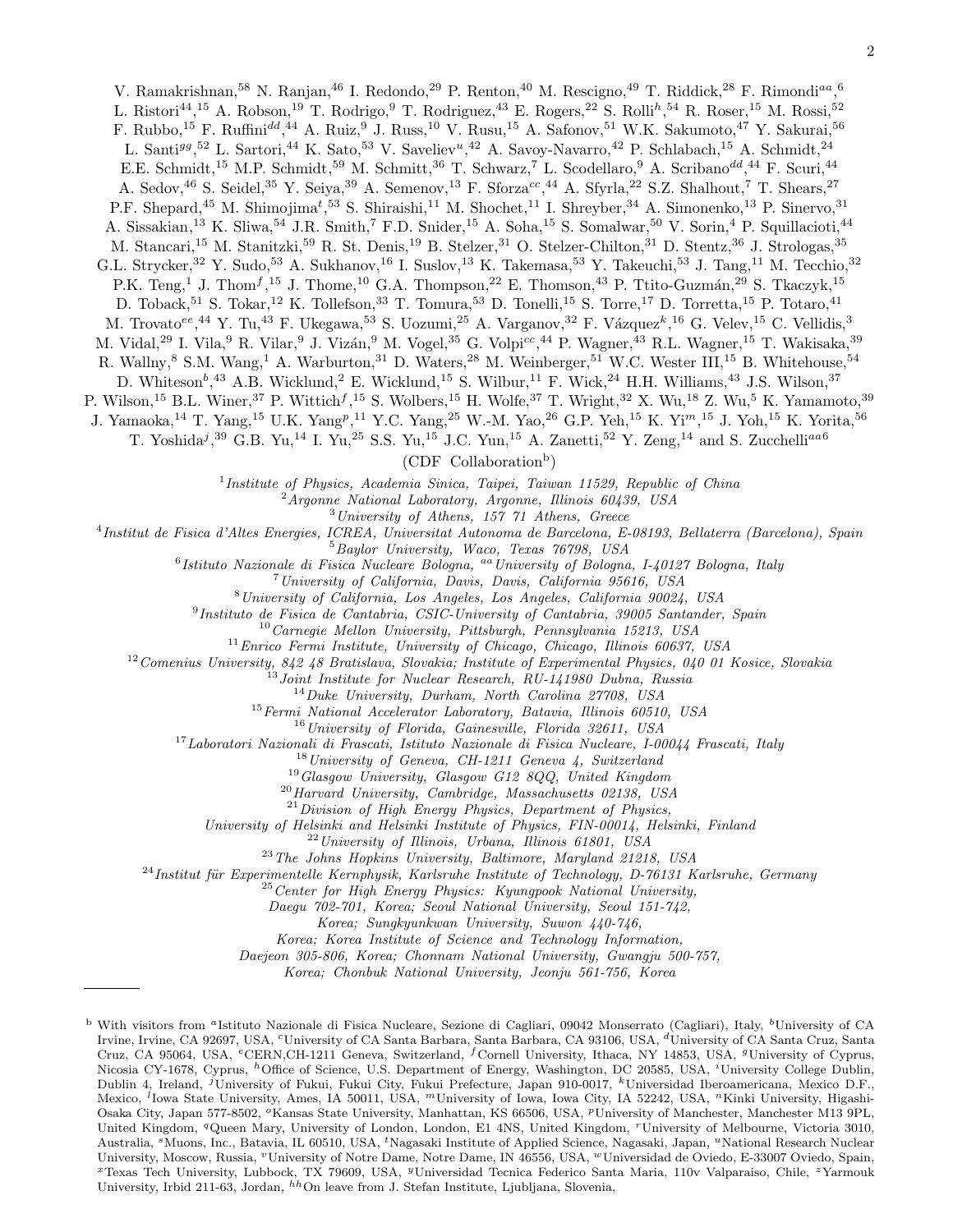V. Ramakrishnan,<sup>58</sup> N. Ranjan,<sup>46</sup> I. Redondo,<sup>29</sup> P. Renton,<sup>40</sup> M. Rescigno,<sup>49</sup> T. Riddick,<sup>28</sup> F. Rimondi<sup>aa</sup>,<sup>6</sup> L. Ristori<sup>44</sup>,<sup>15</sup> A. Robson,<sup>19</sup> T. Rodrigo,<sup>9</sup> T. Rodriguez,<sup>43</sup> E. Rogers,<sup>22</sup> S. Rolli<sup>h</sup>,<sup>54</sup> R. Roser,<sup>15</sup> M. Rossi,<sup>52</sup> F. Rubbo,<sup>15</sup> F. Ruffini<sup>dd</sup>,<sup>44</sup> A. Ruiz,<sup>9</sup> J. Russ,<sup>10</sup> V. Rusu,<sup>15</sup> A. Safonov,<sup>51</sup> W.K. Sakumoto,<sup>47</sup> Y. Sakurai,<sup>56</sup> L. Santi<sup>gg</sup>,<sup>52</sup> L. Sartori,<sup>44</sup> K. Sato,<sup>53</sup> V. Saveliev<sup>u</sup>,<sup>42</sup> A. Savoy-Navarro,<sup>42</sup> P. Schlabach,<sup>15</sup> A. Schmidt,<sup>24</sup> E.E. Schmidt,<sup>15</sup> M.P. Schmidt,<sup>59</sup> M. Schmitt,<sup>36</sup> T. Schwarz,<sup>7</sup> L. Scodellaro,<sup>9</sup> A. Scribano<sup>dd</sup>,<sup>44</sup> F. Scuri,<sup>44</sup> A. Sedov,<sup>46</sup> S. Seidel,<sup>35</sup> Y. Seiya,<sup>39</sup> A. Semenov,<sup>13</sup> F. Sforza<sup>cc</sup>,<sup>44</sup> A. Sfyrla,<sup>22</sup> S.Z. Shalhout,<sup>7</sup> T. Shears,<sup>27</sup> P.F. Shepard,<sup>45</sup> M. Shimojima<sup>t</sup>,<sup>53</sup> S. Shiraishi,<sup>11</sup> M. Shochet,<sup>11</sup> I. Shreyber,<sup>34</sup> A. Simonenko,<sup>13</sup> P. Sinervo,<sup>31</sup> A. Sissakian,<sup>13</sup> K. Sliwa,<sup>54</sup> J.R. Smith,<sup>7</sup> F.D. Snider,<sup>15</sup> A. Soha,<sup>15</sup> S. Somalwar,<sup>50</sup> V. Sorin,<sup>4</sup> P. Squillacioti,<sup>44</sup> M. Stancari,<sup>15</sup> M. Stanitzki,<sup>59</sup> R. St. Denis,<sup>19</sup> B. Stelzer,<sup>31</sup> O. Stelzer-Chilton,<sup>31</sup> D. Stentz,<sup>36</sup> J. Strologas,<sup>35</sup> G.L. Strycker,<sup>32</sup> Y. Sudo,<sup>53</sup> A. Sukhanov,<sup>16</sup> I. Suslov,<sup>13</sup> K. Takemasa,<sup>53</sup> Y. Takeuchi,<sup>53</sup> J. Tang,<sup>11</sup> M. Tecchio,<sup>32</sup> P.K. Teng,<sup>1</sup> J. Thom<sup>f</sup>,<sup>15</sup> J. Thome,<sup>10</sup> G.A. Thompson,<sup>22</sup> E. Thomson,<sup>43</sup> P. Ttito-Guzmán,<sup>29</sup> S. Tkaczyk,<sup>15</sup> D. Toback,<sup>51</sup> S. Tokar,<sup>12</sup> K. Tollefson,<sup>33</sup> T. Tomura,<sup>53</sup> D. Tonelli,<sup>15</sup> S. Torre,<sup>17</sup> D. Torretta,<sup>15</sup> P. Totaro,<sup>41</sup> M. Trovato<sup>ee</sup>,<sup>44</sup> Y. Tu,<sup>43</sup> F. Ukegawa,<sup>53</sup> S. Uozumi,<sup>25</sup> A. Varganov,<sup>32</sup> F. Vázquez<sup>k</sup>,<sup>16</sup> G. Velev,<sup>15</sup> C. Vellidis,<sup>3</sup> M. Vidal,<sup>29</sup> I. Vila,<sup>9</sup> R. Vilar,<sup>9</sup> J. Vizán,<sup>9</sup> M. Vogel,<sup>35</sup> G. Volpi<sup>cc</sup>,<sup>44</sup> P. Wagner,<sup>43</sup> R.L. Wagner,<sup>15</sup> T. Wakisaka,<sup>39</sup> R. Wallny,<sup>8</sup> S.M. Wang,<sup>1</sup> A. Warburton,<sup>31</sup> D. Waters,<sup>28</sup> M. Weinberger,<sup>51</sup> W.C. Wester III,<sup>15</sup> B. Whitehouse,<sup>54</sup> D. Whiteson<sup>b</sup>,<sup>43</sup> A.B. Wicklund,<sup>2</sup> E. Wicklund,<sup>15</sup> S. Wilbur,<sup>11</sup> F. Wick,<sup>24</sup> H.H. Williams,<sup>43</sup> J.S. Wilson,<sup>37</sup> P. Wilson,<sup>15</sup> B.L. Winer,<sup>37</sup> P. Wittich<sup>f</sup>,<sup>15</sup> S. Wolbers,<sup>15</sup> H. Wolfe,<sup>37</sup> T. Wright,<sup>32</sup> X. Wu,<sup>18</sup> Z. Wu,<sup>5</sup> K. Yamamoto,<sup>39</sup> J. Yamaoka,<sup>14</sup> T. Yang,<sup>15</sup> U.K. Yang<sup>p</sup>,<sup>11</sup> Y.C. Yang,<sup>25</sup> W.-M. Yao,<sup>26</sup> G.P. Yeh,<sup>15</sup> K. Yi<sup>m</sup>,<sup>15</sup> J. Yoh,<sup>15</sup> K. Yorita,<sup>56</sup> T. Yoshida<sup>j</sup>,<sup>39</sup> G.B. Yu,<sup>14</sup> I. Yu,<sup>25</sup> S.S. Yu,<sup>15</sup> J.C. Yun,<sup>15</sup> A. Zanetti,<sup>52</sup> Y. Zeng,<sup>14</sup> and S. Zucchelli<sup>aa6</sup> (CDF Collaboration<sup>b</sup>) <sup>1</sup>Institute of Physics, Academia Sinica, Taipei, Taiwan 11529, Republic of China  $2^{2}$ Argonne National Laboratory, Argonne, Illinois 60439, USA <sup>3</sup>University of Athens, 157 71 Athens, Greece 4 Institut de Fisica d'Altes Energies, ICREA, Universitat Autonoma de Barcelona, E-08193, Bellaterra (Barcelona), Spain <sup>5</sup>Baylor University, Waco, Texas 76798, USA <sup>6</sup> Istituto Nazionale di Fisica Nucleare Bologna, <sup>aa</sup> University of Bologna, I-40127 Bologna, Italy <sup>7</sup>University of California, Davis, Davis, California 95616, USA <sup>8</sup>University of California, Los Angeles, Los Angeles, California 90024, USA 9 Instituto de Fisica de Cantabria, CSIC-University of Cantabria, 39005 Santander, Spain  $10$ Carnegie Mellon University, Pittsburgh, Pennsylvania 15213, USA  $11$ Enrico Fermi Institute, University of Chicago, Chicago, Illinois 60637, USA  $12$ Comenius University, 842 48 Bratislava, Slovakia; Institute of Experimental Physics, 040 01 Kosice, Slovakia <sup>13</sup>Joint Institute for Nuclear Research, RU-141980 Dubna, Russia <sup>14</sup>Duke University, Durham, North Carolina 27708, USA <sup>15</sup> Fermi National Accelerator Laboratory, Batavia, Illinois 60510, USA  $16$ University of Florida, Gainesville, Florida 32611, USA <sup>17</sup>Laboratori Nazionali di Frascati, Istituto Nazionale di Fisica Nucleare, I-00044 Frascati, Italy  $18$ University of Geneva, CH-1211 Geneva 4, Switzerland  $^{19}G$ lasgow University, Glasgow G12 8QQ, United Kingdom  $^{20}$ Harvard University, Cambridge, Massachusetts 02138, USA  $21$ Division of High Energy Physics, Department of Physics, University of Helsinki and Helsinki Institute of Physics, FIN-00014, Helsinki, Finland  $^{22}$ University of Illinois, Urbana, Illinois 61801, USA <sup>23</sup>The Johns Hopkins University, Baltimore, Maryland 21218, USA  $^{24}$ Institut für Experimentelle Kernphysik, Karlsruhe Institute of Technology, D-76131 Karlsruhe, Germany  $^{25}$  Center for High Energy Physics: Kyungpook National University, Daegu 702-701, Korea; Seoul National University, Seoul 151-742, Korea; Sungkyunkwan University, Suwon 440-746, Korea; Korea Institute of Science and Technology Information, Daejeon 305-806, Korea; Chonnam National University, Gwangju 500-757, Korea; Chonbuk National University, Jeonju 561-756, Korea <sup>b</sup> With visitors from <sup>a</sup>Istituto Nazionale di Fisica Nucleare, Sezione di Cagliari, 09042 Monserrato (Cagliari), Italy, <sup>b</sup>University of CA

Irvine, Irvine, CA 92697, USA, <sup>c</sup>University of CA Santa Barbara, Santa Barbara, CA 93106, USA, <sup>d</sup>University of CA Santa Cruz, Santa Cruz, CA 95064, USA, <sup>e</sup>CERN,CH-1211 Geneva, Switzerland, <sup>f</sup>Cornell University, Ithaca, NY 14853, USA, <sup>9</sup>University of Cyprus, Nicosia CY-1678, Cyprus, <sup>h</sup>Office of Science, U.S. Department of Energy, Washington, DC 20585, USA, <sup>i</sup>University College Dublin, Dublin 4, Ireland, <sup>j</sup>University of Fukui, Fukui City, Fukui Prefecture, Japan 910-0017, <sup>k</sup>Universidad Iberoamericana, Mexico D.F., Mexico, <sup>l</sup>Iowa State University, Ames, IA 50011, USA, <sup>m</sup>University of Iowa, Iowa City, IA 52242, USA, <sup>n</sup>Kinki University, Higashi-Osaka City, Japan 577-8502, <sup>o</sup>Kansas State University, Manhattan, KS 66506, USA, <sup>*p*</sup>University of Manchester, Manchester M13 9PL, United Kingdom, <sup>q</sup>Queen Mary, University of London, London, E1 4NS, United Kingdom, <sup>r</sup>University of Melbourne, Victoria 3010, Australia, <sup>s</sup>Muons, Inc., Batavia, IL 60510, USA, <sup>t</sup>Nagasaki Institute of Applied Science, Nagasaki, Japan, <sup>u</sup>National Research Nuclear University, Moscow, Russia, <sup>v</sup>University of Notre Dame, Notre Dame, IN 46556, USA, <sup>w</sup>Universidad de Oviedo, E-33007 Oviedo, Spain, <sup>x</sup>Texas Tech University, Lubbock, TX 79609, USA, <sup>y</sup>Universidad Tecnica Federico Santa Maria, 110v Valparaiso, Chile, <sup>z</sup>Yarmouk University, Irbid 211-63, Jordan, <sup>hh</sup>On leave from J. Stefan Institute, Ljubljana, Slovenia,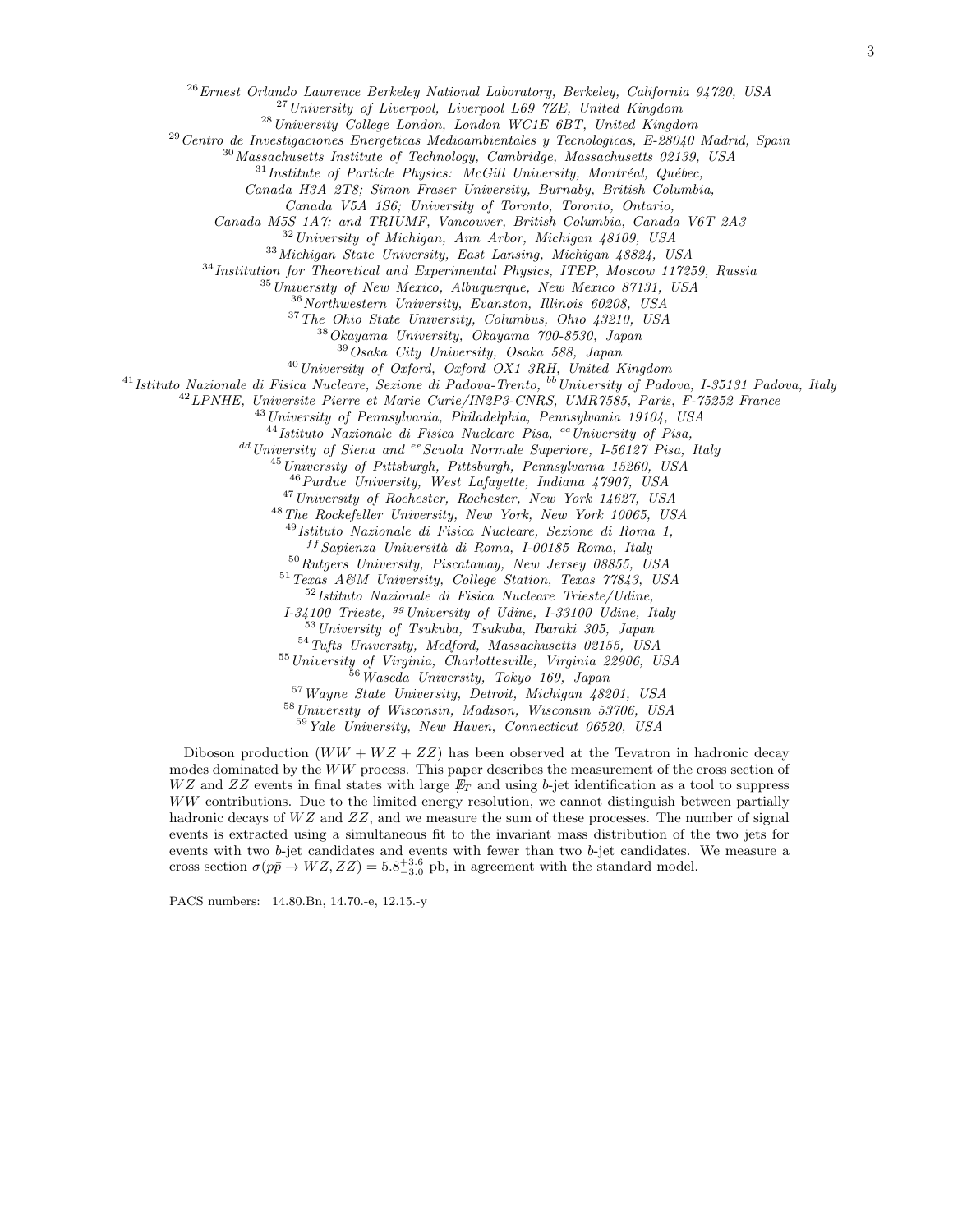$^{26}$ Ernest Orlando Lawrence Berkeley National Laboratory, Berkeley, California 94720, USA

<sup>27</sup> University of Liverpool, Liverpool L69 7ZE, United Kingdom

<sup>28</sup>University College London, London WC1E 6BT, United Kingdom

 $29$ Centro de Investigaciones Energeticas Medioambientales y Tecnologicas, E-28040 Madrid, Spain

 $30$ Massachusetts Institute of Technology, Cambridge, Massachusetts 02139, USA

 $31$ Institute of Particle Physics: McGill University, Montréal, Québec,

Canada H3A 2T8; Simon Fraser University, Burnaby, British Columbia,

Canada V5A 1S6; University of Toronto, Toronto, Ontario,

Canada M5S 1A7; and TRIUMF, Vancouver, British Columbia, Canada V6T 2A3

<sup>32</sup>University of Michigan, Ann Arbor, Michigan 48109, USA

<sup>33</sup>Michigan State University, East Lansing, Michigan 48824, USA

<sup>34</sup> Institution for Theoretical and Experimental Physics, ITEP, Moscow 117259, Russia

 $35$ University of New Mexico, Albuquerque, New Mexico 87131, USA

<sup>36</sup>Northwestern University, Evanston, Illinois 60208, USA

<sup>37</sup>The Ohio State University, Columbus, Ohio 43210, USA

 $38Okayama$  University, Okayama  $700-8530$ , Japan

<sup>39</sup>Osaka City University, Osaka 588, Japan

<sup>40</sup>University of Oxford, Oxford OX1 3RH, United Kingdom

 $^{41}$ Istituto Nazionale di Fisica Nucleare, Sezione di Padova-Trento,  $^{bb}$ University of Padova, I-35131 Padova, Italy

<sup>42</sup>LPNHE, Universite Pierre et Marie Curie/IN2P3-CNRS, UMR7585, Paris, F-75252 France

<sup>43</sup> University of Pennsylvania, Philadelphia, Pennsylvania 19104, USA

 $^{44}$ Istituto Nazionale di Fisica Nucleare Pisa, <sup>cc</sup>University of Pisa,

dd University of Siena and ee Scuola Normale Superiore, I-56127 Pisa, Italy

 $^{45}$ University of Pittsburgh, Pittsburgh, Pennsylvania 15260, USA

<sup>46</sup>Purdue University, West Lafayette, Indiana 47907, USA

<sup>47</sup>University of Rochester, Rochester, New York 14627, USA

<sup>48</sup>The Rockefeller University, New York, New York 10065, USA

<sup>49</sup>Istituto Nazionale di Fisica Nucleare, Sezione di Roma 1,

 $f$ <sup>ff</sup> Sapienza Università di Roma, I-00185 Roma, Italy

<sup>50</sup>Rutgers University, Piscataway, New Jersey 08855, USA

<sup>51</sup>Texas A&M University, College Station, Texas 77843, USA  $52$ Istituto Nazionale di Fisica Nucleare Trieste/Udine.

 $I-34100$  Trieste,  $99$  University of Udine, I-33100 Udine, Italy

<sup>53</sup>University of Tsukuba, Tsukuba, Ibaraki 305, Japan

<sup>54</sup>Tufts University, Medford, Massachusetts 02155, USA

55 University of Virginia, Charlottesville, Virginia 22906, USA

<sup>56</sup>Waseda University, Tokyo 169, Japan

<sup>57</sup>Wayne State University, Detroit, Michigan 48201, USA

<sup>58</sup>University of Wisconsin, Madison, Wisconsin 53706, USA

<sup>59</sup>Yale University, New Haven, Connecticut 06520, USA

Diboson production  $(WW + WZ + ZZ)$  has been observed at the Tevatron in hadronic decay modes dominated by the WW process. This paper describes the measurement of the cross section of  $WZ$  and  $ZZ$  events in final states with large  $\not{E}_T$  and using b-jet identification as a tool to suppress WW contributions. Due to the limited energy resolution, we cannot distinguish between partially hadronic decays of  $WZ$  and  $ZZ$ , and we measure the sum of these processes. The number of signal events is extracted using a simultaneous fit to the invariant mass distribution of the two jets for events with two b-jet candidates and events with fewer than two b-jet candidates. We measure a cross section  $\sigma(p\bar{p} \to WZ, ZZ) = 5.8^{+3.6}_{-3.0}$  pb, in agreement with the standard model.

PACS numbers: 14.80.Bn, 14.70.-e, 12.15.-y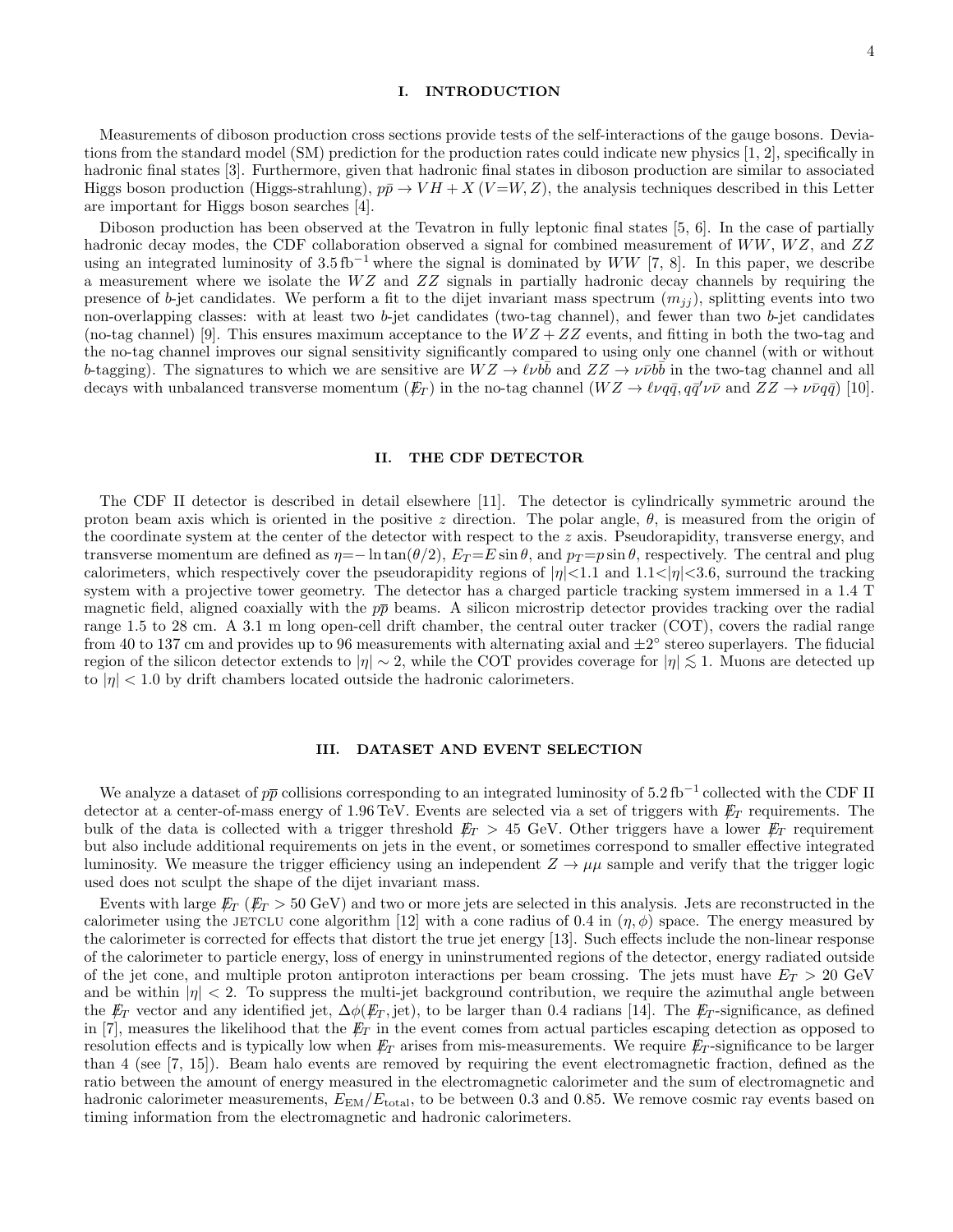#### I. INTRODUCTION

4

Measurements of diboson production cross sections provide tests of the self-interactions of the gauge bosons. Deviations from the standard model (SM) prediction for the production rates could indicate new physics [1, 2], specifically in hadronic final states [3]. Furthermore, given that hadronic final states in diboson production are similar to associated Higgs boson production (Higgs-strahlung),  $p\bar{p} \to VH + X(V=W,Z)$ , the analysis techniques described in this Letter are important for Higgs boson searches [4].

Diboson production has been observed at the Tevatron in fully leptonic final states [5, 6]. In the case of partially

hadronic decay modes, the CDF collaboration observed a signal for combined measurement of  $WW$ ,  $WZ$ , and  $ZZ$ using an integrated luminosity of  $3.5 \text{ fb}^{-1}$  where the signal is dominated by WW [7, 8]. In this paper, we describe a measurement where we isolate the  $WZ$  and  $ZZ$  signals in partially hadronic decay channels by requiring the presence of b-jet candidates. We perform a fit to the dijet invariant mass spectrum  $(m_{ij})$ , splitting events into two non-overlapping classes: with at least two  $b$ -jet candidates (two-tag channel), and fewer than two  $b$ -jet candidates (no-tag channel) [9]. This ensures maximum acceptance to the  $WZ + ZZ$  events, and fitting in both the two-tag and the no-tag channel improves our signal sensitivity significantly compared to using only one channel (with or without b-tagging). The signatures to which we are sensitive are  $WZ \to \ell \nu \bar{b} \bar{b}$  and  $ZZ \to \nu \bar{\nu} b \bar{b}$  in the two-tag channel and all decays with unbalanced transverse momentum  $(F_T)$  in the no-tag channel  $(WZ \to \ell \nu q \bar{q}, q \bar{q}' \nu \bar{\nu}$  and  $ZZ \to \nu \bar{\nu} q \bar{q}$ ) [10].

#### II. THE CDF DETECTOR

The CDF II detector is described in detail elsewhere [11]. The detector is cylindrically symmetric around the proton beam axis which is oriented in the positive z direction. The polar angle,  $\theta$ , is measured from the origin of the coordinate system at the center of the detector with respect to the  $z$  axis. Pseudorapidity, transverse energy, and transverse momentum are defined as  $\eta = -\ln \tan(\theta/2)$ ,  $E_T = E \sin \theta$ , and  $p_T = p \sin \theta$ , respectively. The central and plug calorimeters, which respectively cover the pseudorapidity regions of  $|\eta|$ <1.1 and 1.1<| $|\eta|$ <3.6, surround the tracking system with a projective tower geometry. The detector has a charged particle tracking system immersed in a 1.4 T magnetic field, aligned coaxially with the  $p\bar{p}$  beams. A silicon microstrip detector provides tracking over the radial range 1.5 to 28 cm. A 3.1 m long open-cell drift chamber, the central outer tracker (COT), covers the radial range from 40 to 137 cm and provides up to 96 measurements with alternating axial and  $\pm 2^{\circ}$  stereo superlayers. The fiducial region of the silicon detector extends to  $|\eta| \sim 2$ , while the COT provides coverage for  $|\eta| \lesssim 1$ . Muons are detected up to  $|\eta|$  < 1.0 by drift chambers located outside the hadronic calorimeters.

#### III. DATASET AND EVENT SELECTION

We analyze a dataset of  $p\bar{p}$  collisions corresponding to an integrated luminosity of 5.2 fb<sup>-1</sup> collected with the CDF II detector at a center-of-mass energy of 1.96 TeV. Events are selected via a set of triggers with  $\not\hspace{-1.2mm}E_{T}$  requirements. The bulk of the data is collected with a trigger threshold  $E_T > 45$  GeV. Other triggers have a lower  $E_T$  requirement but also include additional requirements on jets in the event, or sometimes correspond to smaller effective integrated luminosity. We measure the trigger efficiency using an independent  $Z \to \mu\mu$  sample and verify that the trigger logic used does not sculpt the shape of the dijet invariant mass.

Events with large  $\not{E}_T$  ( $\not{E}_T > 50 \text{ GeV}$ ) and two or more jets are selected in this analysis. Jets are reconstructed in the calorimeter using the JETCLU cone algorithm [12] with a cone radius of 0.4 in  $(\eta, \phi)$  space. The energy measured by the calorimeter is corrected for effects that distort the true jet energy [13]. Such effects include the non-linear response of the calorimeter to particle energy, loss of energy in uninstrumented regions of the detector, energy radiated outside of the jet cone, and multiple proton antiproton interactions per beam crossing. The jets must have  $E_T > 20 \text{ GeV}$ and be within  $|\eta| < 2$ . To suppress the multi-jet background contribution, we require the azimuthal angle between the  $\not{E}_T$  vector and any identified jet,  $\Delta \phi(\not{E}_T, \text{jet})$ , to be larger than 0.4 radians [14]. The  $\not{E}_T$ -significance, as defined in [7], measures the likelihood that the  $\not{E}_T$  in the event comes from actual particles escaping detection as opposed to resolution effects and is typically low when  $E_T$  arises from mis-measurements. We require  $E_T$ -significance to be larger than 4 (see [7, 15]). Beam halo events are removed by requiring the event electromagnetic fraction, defined as the ratio between the amount of energy measured in the electromagnetic calorimeter and the sum of electromagnetic and hadronic calorimeter measurements,  $E_{EM}/E_{total}$ , to be between 0.3 and 0.85. We remove cosmic ray events based on timing information from the electromagnetic and hadronic calorimeters.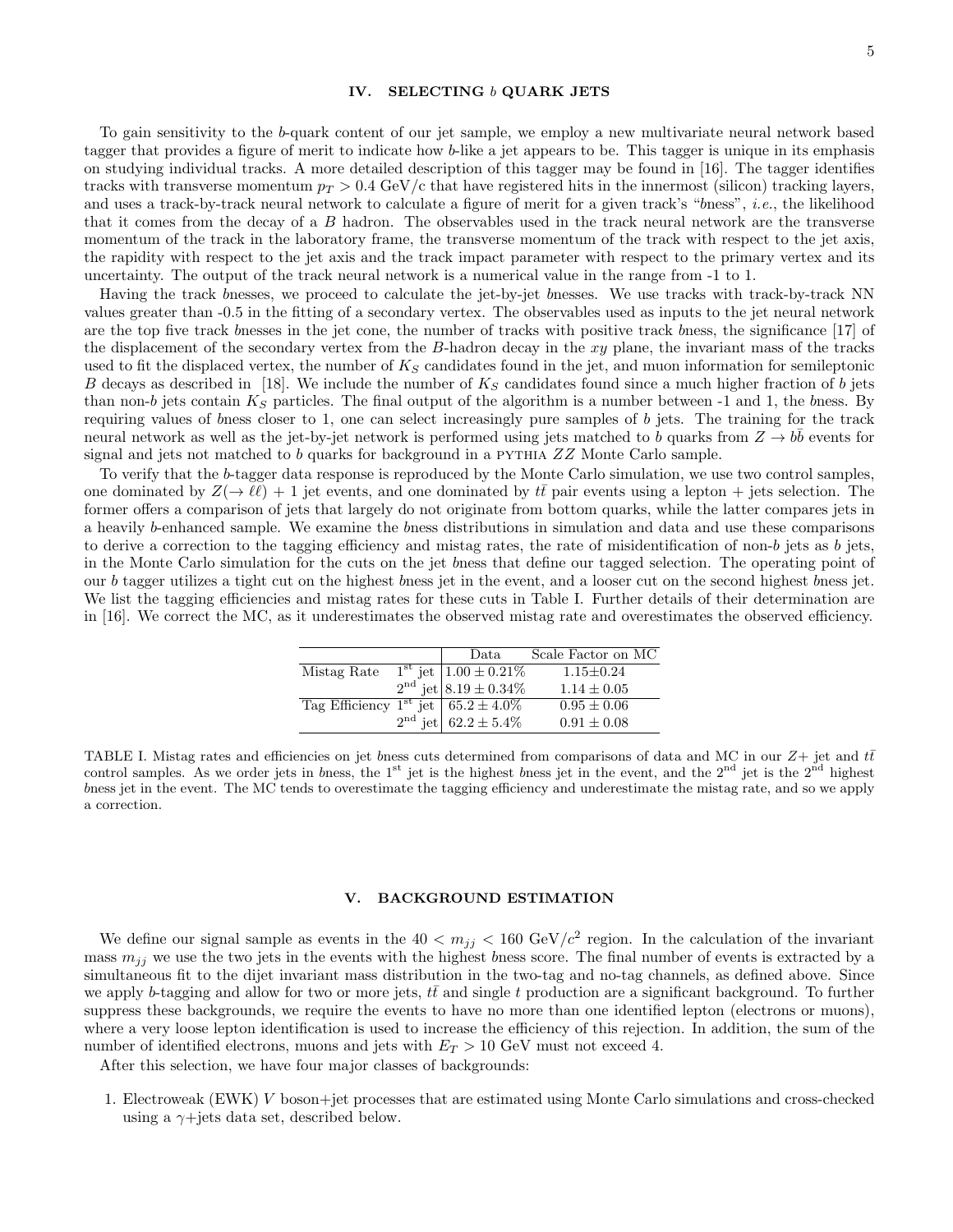#### IV. SELECTING b QUARK JETS

To gain sensitivity to the b-quark content of our jet sample, we employ a new multivariate neural network based tagger that provides a figure of merit to indicate how b-like a jet appears to be. This tagger is unique in its emphasis on studying individual tracks. A more detailed description of this tagger may be found in [16]. The tagger identifies tracks with transverse momentum  $p_T > 0.4$  GeV/c that have registered hits in the innermost (silicon) tracking layers, and uses a track-by-track neural network to calculate a figure of merit for a given track's "bness", i.e., the likelihood that it comes from the decay of a B hadron. The observables used in the track neural network are the transverse momentum of the track in the laboratory frame, the transverse momentum of the track with respect to the jet axis, the rapidity with respect to the jet axis and the track impact parameter with respect to the primary vertex and its uncertainty. The output of the track neural network is a numerical value in the range from -1 to 1.

Having the track bnesses, we proceed to calculate the jet-by-jet bnesses. We use tracks with track-by-track NN values greater than -0.5 in the fitting of a secondary vertex. The observables used as inputs to the jet neural network are the top five track bnesses in the jet cone, the number of tracks with positive track bness, the significance [17] of the displacement of the secondary vertex from the B-hadron decay in the xy plane, the invariant mass of the tracks used to fit the displaced vertex, the number of  $K_S$  candidates found in the jet, and muon information for semileptonic B decays as described in [18]. We include the number of  $K_S$  candidates found since a much higher fraction of b jets than non-b jets contain  $K_S$  particles. The final output of the algorithm is a number between -1 and 1, the bness. By requiring values of bness closer to 1, one can select increasingly pure samples of b jets. The training for the track neural network as well as the jet-by-jet network is performed using jets matched to b quarks from  $Z \to b\bar{b}$  events for signal and jets not matched to b quarks for background in a PYTHIA ZZ Monte Carlo sample.

To verify that the b-tagger data response is reproduced by the Monte Carlo simulation, we use two control samples, one dominated by  $Z(\to \ell\ell) + 1$  jet events, and one dominated by tt pair events using a lepton + jets selection. The former offers a comparison of jets that largely do not originate from bottom quarks, while the latter compares jets in a heavily b-enhanced sample. We examine the bness distributions in simulation and data and use these comparisons to derive a correction to the tagging efficiency and mistag rates, the rate of misidentification of non-b jets as b jets, in the Monte Carlo simulation for the cuts on the jet bness that define our tagged selection. The operating point of our b tagger utilizes a tight cut on the highest bness jet in the event, and a looser cut on the second highest bness jet. We list the tagging efficiencies and mistag rates for these cuts in Table I. Further details of their determination are in [16]. We correct the MC, as it underestimates the observed mistag rate and overestimates the observed efficiency.

|                                                     | Data                                                                           | Scale Factor on MC |
|-----------------------------------------------------|--------------------------------------------------------------------------------|--------------------|
| Mistag Rate                                         | $1^{\text{st}}$ jet $1.00 \pm 0.21\%$<br>$2^{\text{nd}}$ jet $8.19 \pm 0.34\%$ | $1.15 \pm 0.24$    |
|                                                     |                                                                                | $1.14 \pm 0.05$    |
| Tag Efficiency 1 <sup>st</sup> jet $65.2 \pm 4.0\%$ |                                                                                | $0.95 \pm 0.06$    |
|                                                     | $2^{\text{nd}}$ jet 62.2 ± 5.4%                                                | $0.91 \pm 0.08$    |

TABLE I. Mistag rates and efficiencies on jet bness cuts determined from comparisons of data and MC in our  $Z+$  jet and  $t\bar{t}$ control samples. As we order jets in bness, the  $1^{st}$  jet is the highest bness jet in the event, and the  $2^{nd}$  jet is the  $2^{nd}$  highest bness jet in the event. The MC tends to overestimate the tagging efficiency and underestimate the mistag rate, and so we apply a correction.

#### V. BACKGROUND ESTIMATION

We define our signal sample as events in the  $40 < m_{jj} < 160 \text{ GeV}/c^2$  region. In the calculation of the invariant mass  $m_{jj}$  we use the two jets in the events with the highest bness score. The final number of events is extracted by a simultaneous fit to the dijet invariant mass distribution in the two-tag and no-tag channels, as defined above. Since we apply b-tagging and allow for two or more jets,  $tt$  and single t production are a significant background. To further suppress these backgrounds, we require the events to have no more than one identified lepton (electrons or muons), where a very loose lepton identification is used to increase the efficiency of this rejection. In addition, the sum of the number of identified electrons, muons and jets with  $E_T > 10$  GeV must not exceed 4.

After this selection, we have four major classes of backgrounds:

1. Electroweak (EWK) V boson+jet processes that are estimated using Monte Carlo simulations and cross-checked using a  $\gamma$ +jets data set, described below.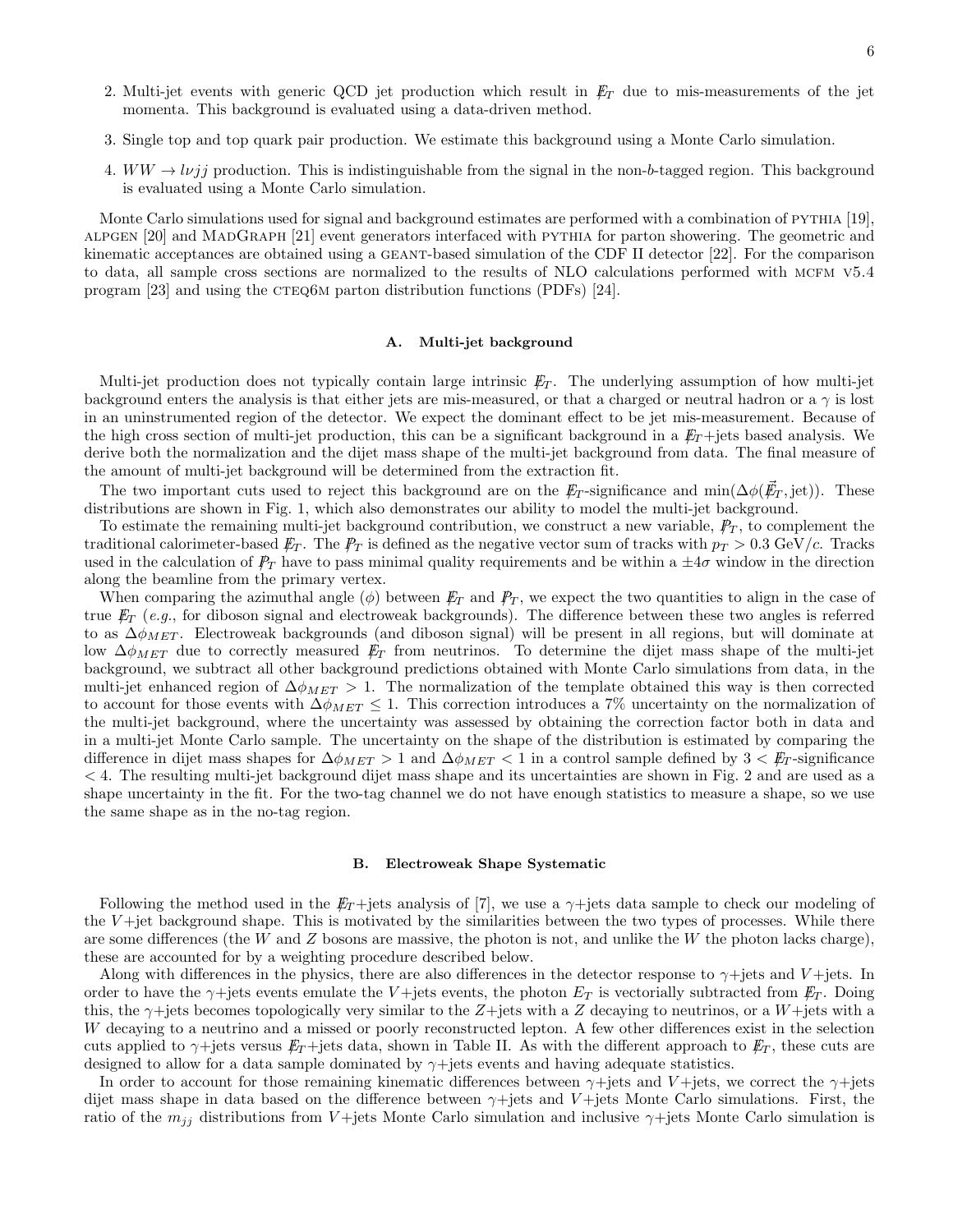- 2. Multi-jet events with generic QCD jet production which result in  $E_T$  due to mis-measurements of the jet momenta. This background is evaluated using a data-driven method.
- 3. Single top and top quark pair production. We estimate this background using a Monte Carlo simulation.
- 4.  $WW \rightarrow l\nu jj$  production. This is indistinguishable from the signal in the non-b-tagged region. This background is evaluated using a Monte Carlo simulation.

Monte Carlo simulations used for signal and background estimates are performed with a combination of PYTHIA [19], alpgen [20] and MadGraph [21] event generators interfaced with pythia for parton showering. The geometric and kinematic acceptances are obtained using a geant-based simulation of the CDF II detector [22]. For the comparison to data, all sample cross sections are normalized to the results of NLO calculations performed with mcfm v5.4 program [23] and using the  $CTEQ6M$  parton distribution functions (PDFs) [24].

#### A. Multi-jet background

Multi-jet production does not typically contain large intrinsic  $E_T$ . The underlying assumption of how multi-jet background enters the analysis is that either jets are mis-measured, or that a charged or neutral hadron or a  $\gamma$  is lost in an uninstrumented region of the detector. We expect the dominant effect to be jet mis-measurement. Because of the high cross section of multi-jet production, this can be a significant background in a  $E_T$ +jets based analysis. We derive both the normalization and the dijet mass shape of the multi-jet background from data. The final measure of the amount of multi-jet background will be determined from the extraction fit.

The two important cuts used to reject this background are on the  $\not\!\!E_T$ -significance and min $(\Delta\phi(\vec{E}_T,\text{jet}))$ . These distributions are shown in Fig. 1, which also demonstrates our ability to model the multi-jet background.

To estimate the remaining multi-jet background contribution, we construct a new variable,  $\mathcal{P}_T$ , to complement the traditional calorimeter-based  $E_T$ . The  $\mathbb{P}_T$  is defined as the negative vector sum of tracks with  $p_T > 0.3$  GeV/c. Tracks used in the calculation of  $\mathbb{P}_T$  have to pass minimal quality requirements and be within a  $\pm 4\sigma$  window in the direction along the beamline from the primary vertex.

When comparing the azimuthal angle  $(\phi)$  between  $\not{E}_T$  and  $\not{P}_T$ , we expect the two quantities to align in the case of true  $E_T$  (e.g., for diboson signal and electroweak backgrounds). The difference between these two angles is referred to as  $\Delta \phi_{MET}$ . Electroweak backgrounds (and diboson signal) will be present in all regions, but will dominate at low  $\Delta\phi_{MET}$  due to correctly measured  $E_T$  from neutrinos. To determine the dijet mass shape of the multi-jet background, we subtract all other background predictions obtained with Monte Carlo simulations from data, in the multi-jet enhanced region of  $\Delta \phi_{MET} > 1$ . The normalization of the template obtained this way is then corrected to account for those events with  $\Delta\phi_{MET} \leq 1$ . This correction introduces a 7% uncertainty on the normalization of the multi-jet background, where the uncertainty was assessed by obtaining the correction factor both in data and in a multi-jet Monte Carlo sample. The uncertainty on the shape of the distribution is estimated by comparing the difference in dijet mass shapes for  $\Delta \phi_{MET} > 1$  and  $\Delta \phi_{MET} < 1$  in a control sample defined by  $3 < \cancel{E_T}$ -significance < 4. The resulting multi-jet background dijet mass shape and its uncertainties are shown in Fig. 2 and are used as a shape uncertainty in the fit. For the two-tag channel we do not have enough statistics to measure a shape, so we use the same shape as in the no-tag region.

#### B. Electroweak Shape Systematic

Following the method used in the  $E_T$  +jets analysis of [7], we use a  $\gamma$  +jets data sample to check our modeling of the  $V +$ jet background shape. This is motivated by the similarities between the two types of processes. While there are some differences (the W and Z bosons are massive, the photon is not, and unlike the W the photon lacks charge), these are accounted for by a weighting procedure described below.

Along with differences in the physics, there are also differences in the detector response to  $\gamma$ +jets and  $V$ +jets. In order to have the  $\gamma$ +jets events emulate the V+jets events, the photon  $E_T$  is vectorially subtracted from  $\not\!\!E_T$ . Doing this, the  $\gamma$ +jets becomes topologically very similar to the Z+jets with a Z decaying to neutrinos, or a W+jets with a W decaying to a neutrino and a missed or poorly reconstructed lepton. A few other differences exist in the selection cuts applied to  $\gamma$ +jets versus  $E_T$ +jets data, shown in Table II. As with the different approach to  $E_T$ , these cuts are designed to allow for a data sample dominated by  $\gamma$ +jets events and having adequate statistics.

In order to account for those remaining kinematic differences between  $\gamma$ +jets and V+jets, we correct the  $\gamma$ +jets dijet mass shape in data based on the difference between  $\gamma$ +jets and V+jets Monte Carlo simulations. First, the ratio of the  $m_{jj}$  distributions from V+jets Monte Carlo simulation and inclusive  $\gamma$ +jets Monte Carlo simulation is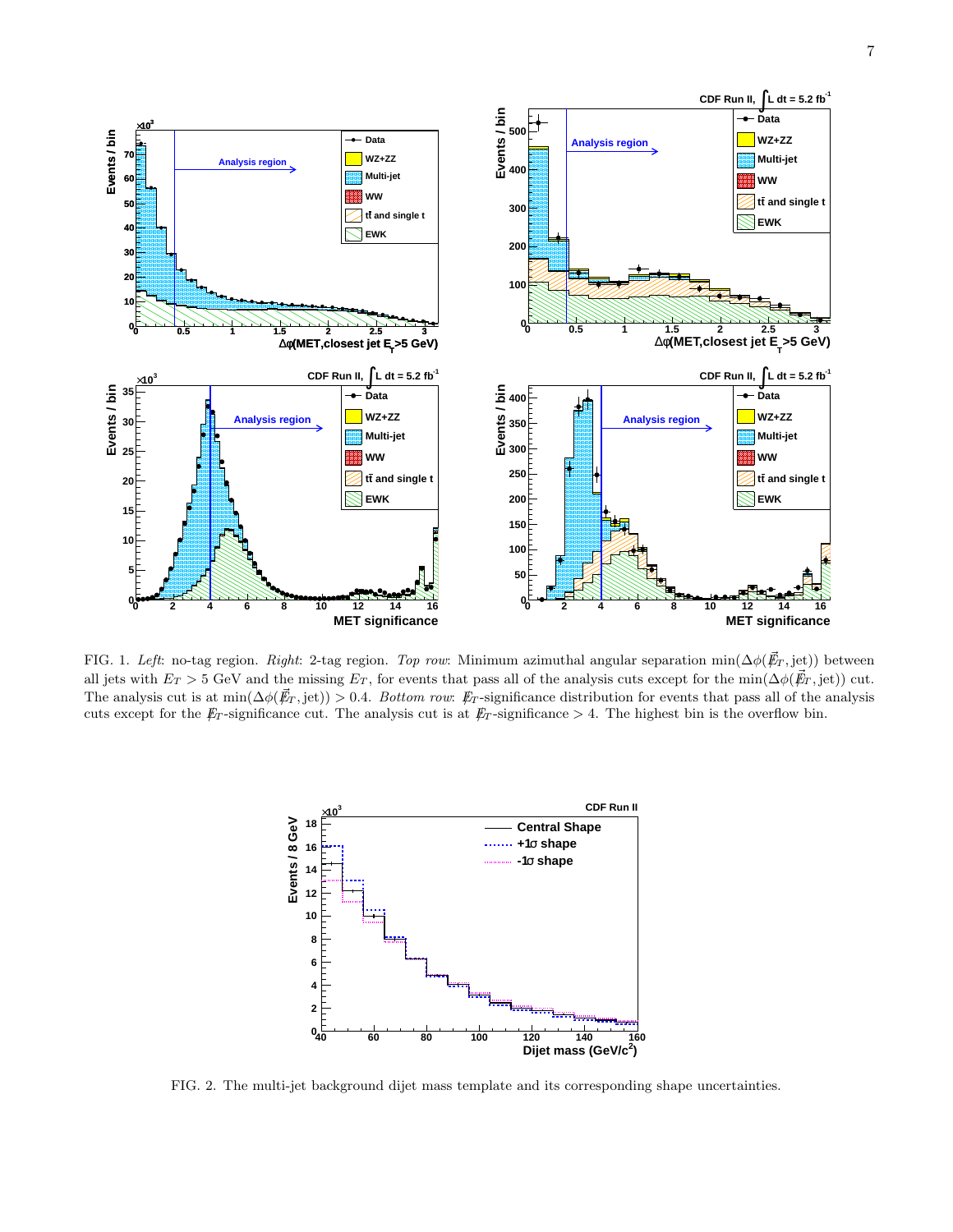

FIG. 1. Left: no-tag region. Right: 2-tag region. Top row: Minimum azimuthal angular separation min( $\Delta \phi(\vec{F}_T, \text{jet})$ ) between all jets with  $E_T > 5$  GeV and the missing  $E_T$ , for events that pass all of the analysis cuts except for the min( $\Delta \phi(\vec{F}_T, \text{jet})$ ) cut. The analysis cut is at min $(\Delta \phi(\vec{E}_T, \text{jet})) > 0.4$ . Bottom row:  $E_T$ -significance distribution for events that pass all of the analysis cuts except for the  $\not{E}_T$ -significance cut. The analysis cut is at  $\not{E}_T$ -significance > 4. The highest bin is the overflow bin.



FIG. 2. The multi-jet background dijet mass template and its corresponding shape uncertainties.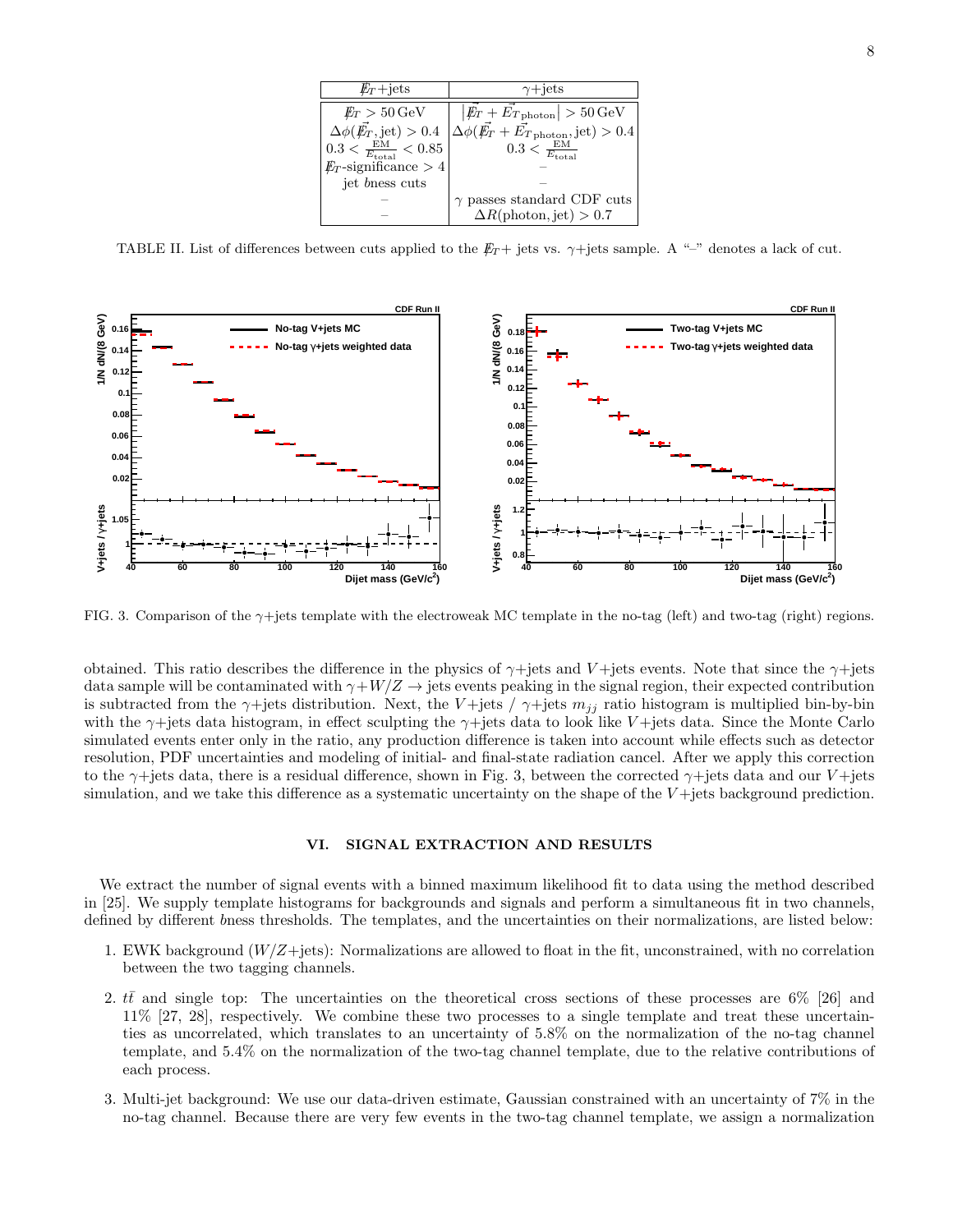| $E_T + \text{jets}$                      | $\gamma + \text{jets}$                                                            |  |  |  |
|------------------------------------------|-----------------------------------------------------------------------------------|--|--|--|
| $E_T > 50 \,\mathrm{GeV}$                | $ E_T + E_{T \text{ photon}}  > 50 \text{ GeV}$                                   |  |  |  |
| $\Delta\phi(\vec{E_T},\text{jet}) > 0.4$ | $\Delta\phi(\vec{\emph{E}_{T}}+\vec{\emph{E}_{T}}_{\rm photon},\textrm{jet})>0.4$ |  |  |  |
| $0.3<\frac{\rm EM}{E_{\rm total}}<0.85$  | $0.3 < \frac{EM}{E_{\text{total}}}$                                               |  |  |  |
| $E_T$ -significance > 4                  |                                                                                   |  |  |  |
| jet bness cuts                           |                                                                                   |  |  |  |
|                                          | $\gamma$ passes standard CDF cuts                                                 |  |  |  |
|                                          | $\Delta R(\text{photon},\text{jet}) > 0.7$                                        |  |  |  |

TABLE II. List of differences between cuts applied to the  $E_T$  + jets vs.  $\gamma$ +jets sample. A "-" denotes a lack of cut.



FIG. 3. Comparison of the γ+jets template with the electroweak MC template in the no-tag (left) and two-tag (right) regions.

obtained. This ratio describes the difference in the physics of  $\gamma$ +jets and V+jets events. Note that since the  $\gamma$ +jets data sample will be contaminated with  $\gamma+W/Z \to$  jets events peaking in the signal region, their expected contribution is subtracted from the  $\gamma$ +jets distribution. Next, the V+jets /  $\gamma$ +jets  $m_{ij}$  ratio histogram is multiplied bin-by-bin with the  $\gamma$ +jets data histogram, in effect sculpting the  $\gamma$ +jets data to look like V+jets data. Since the Monte Carlo simulated events enter only in the ratio, any production difference is taken into account while effects such as detector resolution, PDF uncertainties and modeling of initial- and final-state radiation cancel. After we apply this correction to the  $\gamma$ +jets data, there is a residual difference, shown in Fig. 3, between the corrected  $\gamma$ +jets data and our V+jets simulation, and we take this difference as a systematic uncertainty on the shape of the  $V +$ jets background prediction.

#### VI. SIGNAL EXTRACTION AND RESULTS

We extract the number of signal events with a binned maximum likelihood fit to data using the method described in [25]. We supply template histograms for backgrounds and signals and perform a simultaneous fit in two channels, defined by different bness thresholds. The templates, and the uncertainties on their normalizations, are listed below:

- 1. EWK background  $(W/Z + jets)$ : Normalizations are allowed to float in the fit, unconstrained, with no correlation between the two tagging channels.
- 2.  $t\bar{t}$  and single top: The uncertainties on the theoretical cross sections of these processes are 6% [26] and 11% [27, 28], respectively. We combine these two processes to a single template and treat these uncertainties as uncorrelated, which translates to an uncertainty of 5.8% on the normalization of the no-tag channel template, and 5.4% on the normalization of the two-tag channel template, due to the relative contributions of each process.
- 3. Multi-jet background: We use our data-driven estimate, Gaussian constrained with an uncertainty of 7% in the no-tag channel. Because there are very few events in the two-tag channel template, we assign a normalization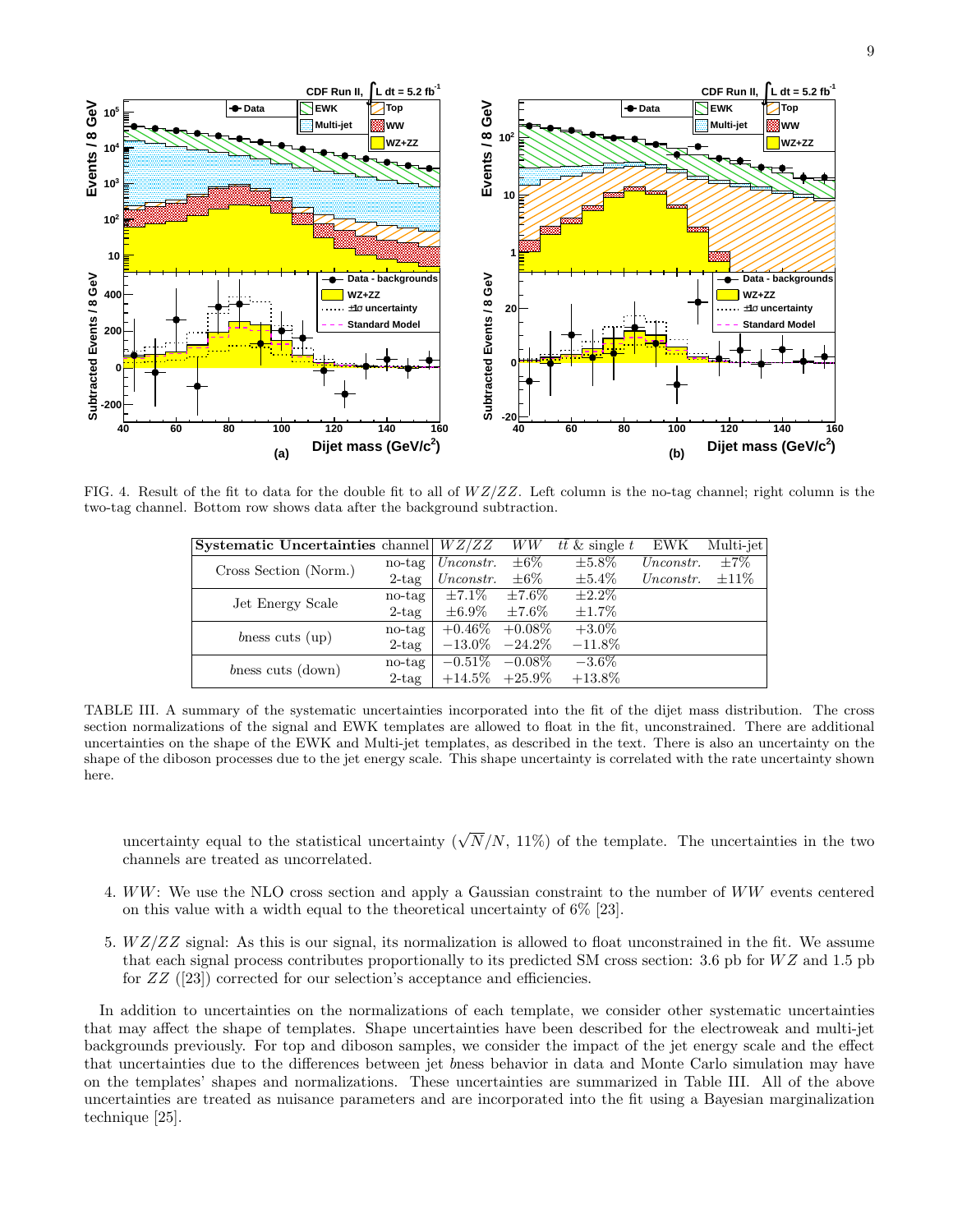

9



FIG. 4. Result of the fit to data for the double fit to all of  $WZ/ZZ$ . Left column is the no-tag channel; right column is the two-tag channel. Bottom row shows data after the background subtraction.

| <b>Systematic Uncertainties</b> channel $WZ/ZZ$ |          |                     | WW          | $t\bar{t}$ & single t | EWK       | Multi-jet            |
|-------------------------------------------------|----------|---------------------|-------------|-----------------------|-----------|----------------------|
| Cross Section (Norm.)                           | no-tag   | Unconstr.           | $\pm 6\%$   | $\pm 5.8\%$           | Unconstr. | $\overline{\pm 7\%}$ |
|                                                 | $2$ -tag | Unconstr.           | $\pm 6\%$   | $\pm 5.4\%$           | Unconstr. | $\pm 11\%$           |
| Jet Energy Scale                                | no-tag   | $\pm 7.1\%$         | $\pm 7.6\%$ | $\pm 2.2\%$           |           |                      |
|                                                 | $2$ -tag | $\pm 6.9\%$         | $\pm 7.6\%$ | $\pm 1.7\%$           |           |                      |
| bness cuts $\langle$ up $\rangle$               | no-tag   | $+0.46\%$           | $+0.08\%$   | $+3.0\%$              |           |                      |
|                                                 | $2$ -tag | $-13.0\%$           | $-24.2\%$   | $-11.8\%$             |           |                      |
| bness cuts (down)                               | no-tag   | $-0.51\%$           | $-0.08\%$   | $-3.6\%$              |           |                      |
|                                                 | $2$ -tag | $+14.5\%$ $+25.9\%$ |             | $+13.8\%$             |           |                      |

TABLE III. A summary of the systematic uncertainties incorporated into the fit of the dijet mass distribution. The cross section normalizations of the signal and EWK templates are allowed to float in the fit, unconstrained. There are additional uncertainties on the shape of the EWK and Multi-jet templates, as described in the text. There is also an uncertainty on the shape of the diboson processes due to the jet energy scale. This shape uncertainty is correlated with the rate uncertainty shown here.

uncertainty equal to the statistical uncertainty  $(\sqrt{N}/N, 11\%)$  of the template. The uncertainties in the two channels are treated as uncorrelated.

- 4. WW: We use the NLO cross section and apply a Gaussian constraint to the number of WW events centered on this value with a width equal to the theoretical uncertainty of  $6\%$  [23].
- 5.  $WZ/ZZ$  signal: As this is our signal, its normalization is allowed to float unconstrained in the fit. We assume that each signal process contributes proportionally to its predicted SM cross section: 3.6 pb for  $WZ$  and 1.5 pb for ZZ ([23]) corrected for our selection's acceptance and efficiencies.

In addition to uncertainties on the normalizations of each template, we consider other systematic uncertainties that may affect the shape of templates. Shape uncertainties have been described for the electroweak and multi-jet backgrounds previously. For top and diboson samples, we consider the impact of the jet energy scale and the effect that uncertainties due to the differences between jet bness behavior in data and Monte Carlo simulation may have on the templates' shapes and normalizations. These uncertainties are summarized in Table III. All of the above uncertainties are treated as nuisance parameters and are incorporated into the fit using a Bayesian marginalization technique [25].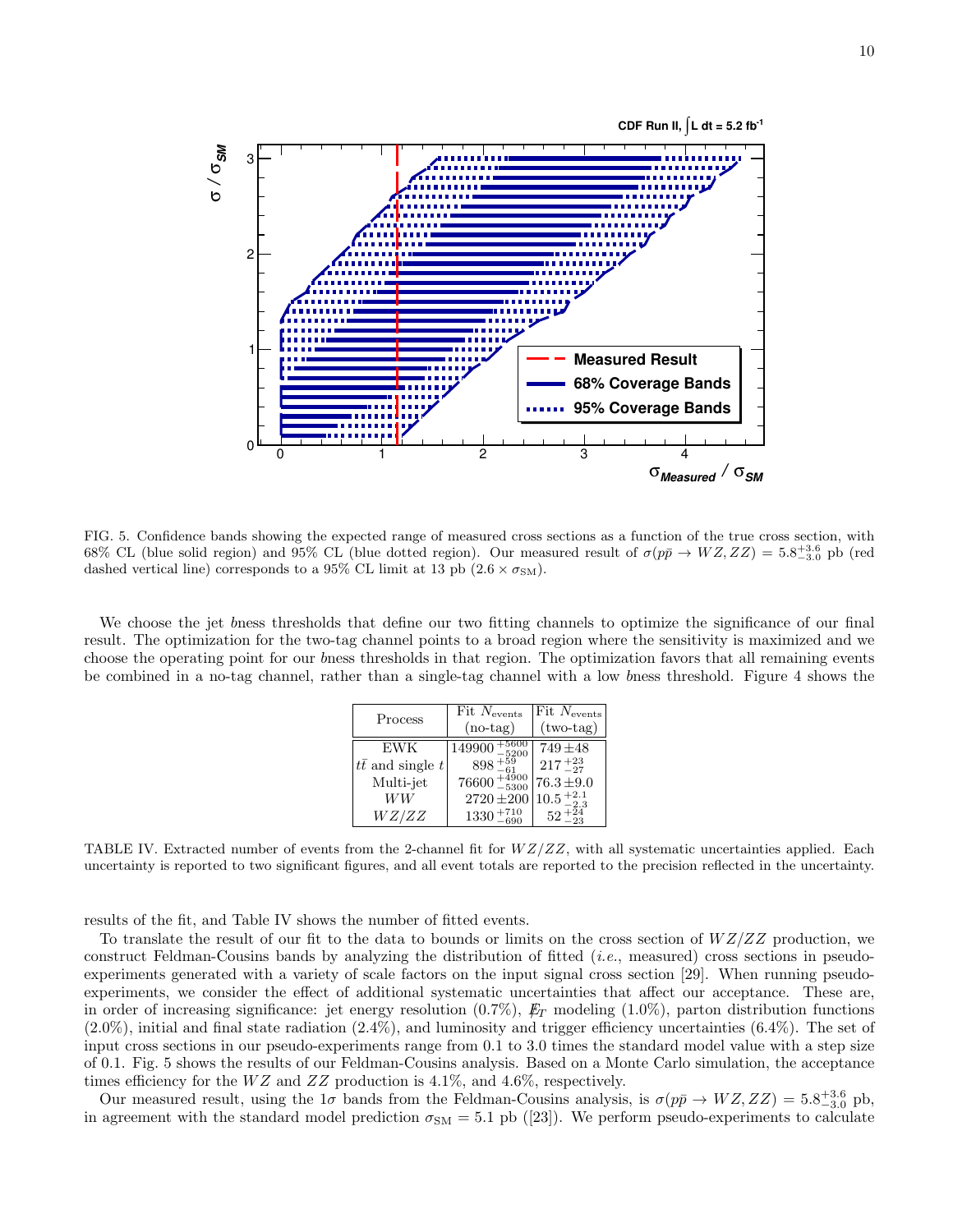

FIG. 5. Confidence bands showing the expected range of measured cross sections as a function of the true cross section, with 68% CL (blue solid region) and 95% CL (blue dotted region). Our measured result of  $\sigma(p\bar{p} \to WZ, ZZ) = 5.8^{+3.6}_{-3.0}$  pb (red dashed vertical line) corresponds to a 95% CL limit at 13 pb  $(2.6 \times \sigma_{SM})$ .

We choose the jet bness thresholds that define our two fitting channels to optimize the significance of our final result. The optimization for the two-tag channel points to a broad region where the sensitivity is maximized and we choose the operating point for our bness thresholds in that region. The optimization favors that all remaining events be combined in a no-tag channel, rather than a single-tag channel with a low bness threshold. Figure 4 shows the

| Process                   | $Fit$ $N_{events}$<br>$(no-tag)$   | Fit $N_{\rm events}$<br>$(two-tag)$ |
|---------------------------|------------------------------------|-------------------------------------|
| <b>EWK</b>                | $\frac{1}{49900}$ + $^{199}_{-52}$ | $749 + 48$                          |
| $t\bar{t}$ and single $t$ | $898 + \frac{55}{61}$              | $217 + 23 \atop -27$                |
| Multi-jet                 | $76600 + \frac{4900}{-5300}$       | $76.3 \pm 9.0$                      |
| WW                        | $2720 \pm 200$                     | $10.5_{\,-2.3}^{\,+2.1}$            |
| WZ/ZZ                     | $1330 +$                           | 52                                  |

TABLE IV. Extracted number of events from the 2-channel fit for  $WZ/ZZ$ , with all systematic uncertainties applied. Each uncertainty is reported to two significant figures, and all event totals are reported to the precision reflected in the uncertainty.

results of the fit, and Table IV shows the number of fitted events.

To translate the result of our fit to the data to bounds or limits on the cross section of  $WZ/ZZ$  production, we construct Feldman-Cousins bands by analyzing the distribution of fitted (i.e., measured) cross sections in pseudoexperiments generated with a variety of scale factors on the input signal cross section [29]. When running pseudoexperiments, we consider the effect of additional systematic uncertainties that affect our acceptance. These are, in order of increasing significance: jet energy resolution  $(0.7\%)$ ,  $E_T$  modeling  $(1.0\%)$ , parton distribution functions  $(2.0\%)$ , initial and final state radiation  $(2.4\%)$ , and luminosity and trigger efficiency uncertainties  $(6.4\%)$ . The set of input cross sections in our pseudo-experiments range from 0.1 to 3.0 times the standard model value with a step size of 0.1. Fig. 5 shows the results of our Feldman-Cousins analysis. Based on a Monte Carlo simulation, the acceptance times efficiency for the  $WZ$  and  $ZZ$  production is 4.1%, and 4.6%, respectively.

Our measured result, using the  $1\sigma$  bands from the Feldman-Cousins analysis, is  $\sigma(p\bar{p}\to WZ, ZZ) = 5.8^{+3.6}_{-3.0}$  pb, in agreement with the standard model prediction  $\sigma_{SM} = 5.1$  pb ([23]). We perform pseudo-experiments to calculate